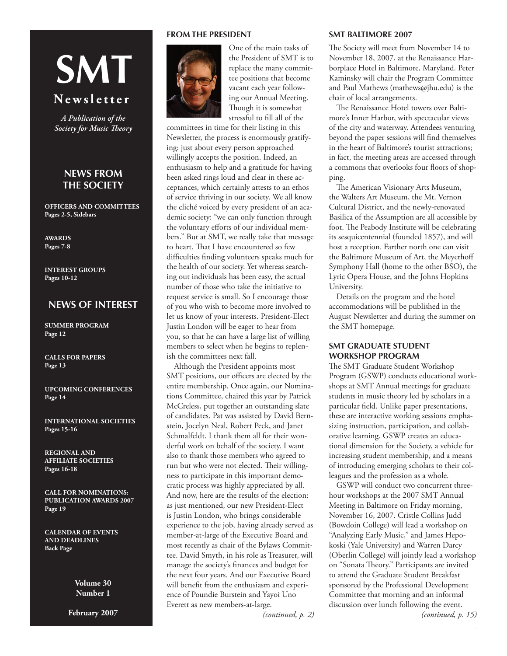# **SMT**

# **N e w s l e t t e r**

*A Publication of the Society for Music Theory*

## **News From the Society**

**Officers and Committees Pages 2-5, Sidebars**

**AWARDS Pages 7-8**

**Interest Groups Pages 10-12**

## **NEWS OF INTEREST**

**Summer Program Page 12**

**CaLLS FOR PAPERS Page 13**

**UPCOMING CONFERENCES Page 14**

**INTERNATIONAL SOCIETIES Pages 15-16**

**REGIONAL AND AFFILIATE SOCIETIES Pages 16-18**

**CALL FOR NOMINATIONS: PUBLICATION AWARDS 2007 Page 19**

**CALENDAR OF EVENTS AND DEADLINES Back Page**

> **Volume 30 Number 1**

**February 2007**

## **FROM THE PRESIDENT**



One of the main tasks of the President of SMT is to replace the many committee positions that become vacant each year following our Annual Meeting. Though it is somewhat stressful to fill all of the

committees in time for their listing in this Newsletter, the process is enormously gratifying: just about every person approached willingly accepts the position. Indeed, an enthusiasm to help and a gratitude for having been asked rings loud and clear in these acceptances, which certainly attests to an ethos of service thriving in our society. We all know the cliché voiced by every president of an academic society: "we can only function through the voluntary efforts of our individual members." But at SMT, we really take that message to heart. That I have encountered so few difficulties finding volunteers speaks much for the health of our society. Yet whereas searching out individuals has been easy, the actual number of those who take the initiative to request service is small. So I encourage those of you who wish to become more involved to let us know of your interests. President-Elect Justin London will be eager to hear from you, so that he can have a large list of willing members to select when he begins to replenish the committees next fall.

Although the President appoints most SMT positions, our officers are elected by the entire membership. Once again, our Nominations Committee, chaired this year by Patrick McCreless, put together an outstanding slate of candidates. Pat was assisted by David Bernstein, Jocelyn Neal, Robert Peck, and Janet Schmalfeldt. I thank them all for their wonderful work on behalf of the society. I want also to thank those members who agreed to run but who were not elected. Their willingness to participate in this important democratic process was highly appreciated by all. And now, here are the results of the election: as just mentioned, our new President-Elect is Justin London, who brings considerable experience to the job, having already served as member-at-large of the Executive Board and most recently as chair of the Bylaws Committee. David Smyth, in his role as Treasurer, will manage the society's finances and budget for the next four years. And our Executive Board will benefit from the enthusiasm and experience of Poundie Burstein and Yayoi Uno Everett as new members-at-large.

*(continued, p. 2)*

## **SMT BALTIMORE 2007**

The Society will meet from November 14 to November 18, 2007, at the Renaissance Harborplace Hotel in Baltimore, Maryland. Peter Kaminsky will chair the Program Committee and Paul Mathews [\(mathews@jhu.edu](mailto:mathews@jhu.edu)) is the chair of local arrangements.

The Renaissance Hotel towers over Baltimore's Inner Harbor, with spectacular views of the city and waterway. Attendees venturing beyond the paper sessions will find themselves in the heart of Baltimore's tourist attractions; in fact, the meeting areas are accessed through a commons that overlooks four floors of shopping.

The American Visionary Arts Museum, the Walters Art Museum, the Mt. Vernon Cultural District, and the newly-renovated Basilica of the Assumption are all accessible by foot. The Peabody Institute will be celebrating its sesquicentennial (founded 1857), and will host a reception. Farther north one can visit the Baltimore Museum of Art, the Meyerhoff Symphony Hall (home to the other BSO), the Lyric Opera House, and the Johns Hopkins University.

Details on the program and the hotel accommodations will be published in the August Newsletter and during the summer on the SMT homepage.

## **SMT GRADUATE STUDENT WORKSHOP PROGRAM**

The SMT Graduate Student Workshop Program (GSWP) conducts educational workshops at SMT Annual meetings for graduate students in music theory led by scholars in a particular field. Unlike paper presentations, these are interactive working sessions emphasizing instruction, participation, and collaborative learning. GSWP creates an educational dimension for the Society, a vehicle for increasing student membership, and a means of introducing emerging scholars to their colleagues and the profession as a whole.

GSWP will conduct two concurrent threehour workshops at the 2007 SMT Annual Meeting in Baltimore on Friday morning, November 16, 2007. Cristle Collins Judd (Bowdoin College) will lead a workshop on "Analyzing Early Music," and James Hepokoski (Yale University) and Warren Darcy (Oberlin College) will jointly lead a workshop on "Sonata Theory." Participants are invited to attend the Graduate Student Breakfast sponsored by the Professional Development Committee that morning and an informal discussion over lunch following the event.

*(continued, p. 15)*

Ĩ.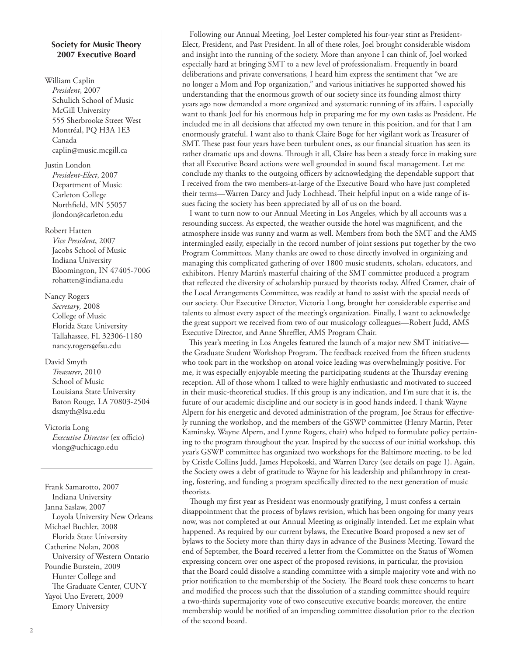### **Society for Music Theory 2007 Executive Board**

## William Caplin *President*, 2007 Schulich School of Music McGill University 555 Sherbrooke Street West Montréal, PQ H3A 1E3 Canada [caplin@music.mcgill.ca](mailto:caplin@music.mcgill.ca)

# Justin London

*President-Elect*, 2007 Department of Music Carleton College Northfield, MN 55057 [jlondon@carleton.edu](mailto:jlondon@carleton.edu)

### Robert Hatten

*Vice President*, 2007 Jacobs School of Music Indiana University Bloomington, IN 47405-7006 [rohatten@indiana.edu](mailto:rohatten@indiana.edu)

## Nancy Rogers

*Secretary,* 2008 College of Music Florida State University Tallahassee, FL 32306-1180 [nancy.rogers@fsu.edu](mailto:nancy.rogers@fsu.edu)

## David Smyth

*Treasurer*, 2010 School of Music Louisiana State University Baton Rouge, LA 70803-2504 [dsmyth@lsu.edu](mailto:dsmyth@lsu.edu)

# Victoria Long

*Executive Director* (ex officio) [vlong@uchicago.edu](mailto:vlong@uchicago.edu)

Frank Samarotto, 2007 Indiana University Janna Saslaw, 2007 Loyola University New Orleans Michael Buchler, 2008 Florida State University Catherine Nolan, 2008 University of Western Ontario Poundie Burstein, 2009 Hunter College and The Graduate Center, CUNY Yayoi Uno Everett, 2009 Emory University

Following our Annual Meeting, Joel Lester completed his four-year stint as President-Elect, President, and Past President. In all of these roles, Joel brought considerable wisdom and insight into the running of the society. More than anyone I can think of, Joel worked especially hard at bringing SMT to a new level of professionalism. Frequently in board deliberations and private conversations, I heard him express the sentiment that "we are no longer a Mom and Pop organization," and various initiatives he supported showed his understanding that the enormous growth of our society since its founding almost thirty years ago now demanded a more organized and systematic running of its affairs. I especially want to thank Joel for his enormous help in preparing me for my own tasks as President. He included me in all decisions that affected my own tenure in this position, and for that I am enormously grateful. I want also to thank Claire Boge for her vigilant work as Treasurer of SMT. These past four years have been turbulent ones, as our financial situation has seen its rather dramatic ups and downs. Through it all, Claire has been a steady force in making sure that all Executive Board actions were well grounded in sound fiscal management. Let me conclude my thanks to the outgoing officers by acknowledging the dependable support that I received from the two members-at-large of the Executive Board who have just completed their terms—Warren Darcy and Judy Lochhead. Their helpful input on a wide range of issues facing the society has been appreciated by all of us on the board.

I want to turn now to our Annual Meeting in Los Angeles, which by all accounts was a resounding success. As expected, the weather outside the hotel was magnificent, and the atmosphere inside was sunny and warm as well. Members from both the SMT and the AMS intermingled easily, especially in the record number of joint sessions put together by the two Program Committees. Many thanks are owed to those directly involved in organizing and managing this complicated gathering of over 1800 music students, scholars, educators, and exhibitors. Henry Martin's masterful chairing of the SMT committee produced a program that reflected the diversity of scholarship pursued by theorists today. Alfred Cramer, chair of the Local Arrangements Committee, was readily at hand to assist with the special needs of our society. Our Executive Director, Victoria Long, brought her considerable expertise and talents to almost every aspect of the meeting's organization. Finally, I want to acknowledge the great support we received from two of our musicology colleagues—Robert Judd, AMS Executive Director, and Anne Shreffler, AMS Program Chair.

This year's meeting in Los Angeles featured the launch of a major new SMT initiative the Graduate Student Workshop Program. The feedback received from the fifteen students who took part in the workshop on atonal voice leading was overwhelmingly positive. For me, it was especially enjoyable meeting the participating students at the Thursday evening reception. All of those whom I talked to were highly enthusiastic and motivated to succeed in their music-theoretical studies. If this group is any indication, and I'm sure that it is, the future of our academic discipline and our society is in good hands indeed. I thank Wayne Alpern for his energetic and devoted administration of the program, Joe Straus for effectively running the workshop, and the members of the GSWP committee (Henry Martin, Peter Kaminsky, Wayne Alpern, and Lynne Rogers, chair) who helped to formulate policy pertaining to the program throughout the year. Inspired by the success of our initial workshop, this year's GSWP committee has organized two workshops for the Baltimore meeting, to be led by Cristle Collins Judd, James Hepokoski, and Warren Darcy (see details on page 1). Again, the Society owes a debt of gratitude to Wayne for his leadership and philanthropy in creating, fostering, and funding a program specifically directed to the next generation of music theorists.

Though my first year as President was enormously gratifying, I must confess a certain disappointment that the process of bylaws revision, which has been ongoing for many years now, was not completed at our Annual Meeting as originally intended. Let me explain what happened. As required by our current bylaws, the Executive Board proposed a new set of bylaws to the Society more than thirty days in advance of the Business Meeting. Toward the end of September, the Board received a letter from the Committee on the Status of Women expressing concern over one aspect of the proposed revisions, in particular, the provision that the Board could dissolve a standing committee with a simple majority vote and with no prior notification to the membership of the Society. The Board took these concerns to heart and modified the process such that the dissolution of a standing committee should require a two-thirds supermajority vote of two consecutive executive boards; moreover, the entire membership would be notified of an impending committee dissolution prior to the election of the second board.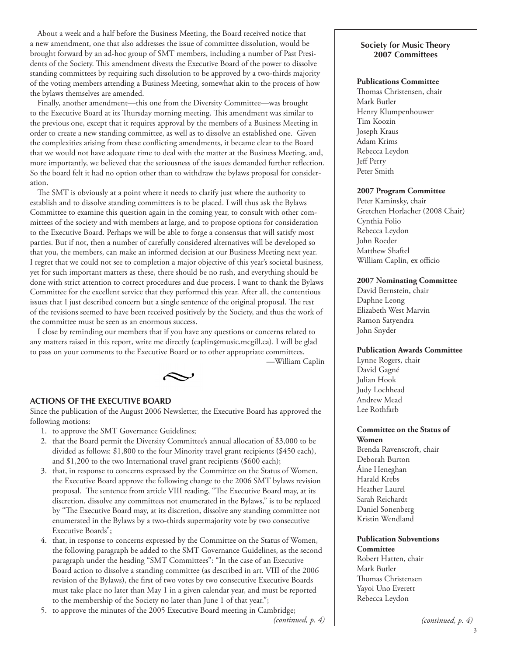About a week and a half before the Business Meeting, the Board received notice that a new amendment, one that also addresses the issue of committee dissolution, would be brought forward by an ad-hoc group of SMT members, including a number of Past Presidents of the Society. This amendment divests the Executive Board of the power to dissolve standing committees by requiring such dissolution to be approved by a two-thirds majority of the voting members attending a Business Meeting, somewhat akin to the process of how the bylaws themselves are amended.

Finally, another amendment—this one from the Diversity Committee—was brought to the Executive Board at its Thursday morning meeting. This amendment was similar to the previous one, except that it requires approval by the members of a Business Meeting in order to create a new standing committee, as well as to dissolve an established one. Given the complexities arising from these conflicting amendments, it became clear to the Board that we would not have adequate time to deal with the matter at the Business Meeting, and, more importantly, we believed that the seriousness of the issues demanded further reflection. So the board felt it had no option other than to withdraw the bylaws proposal for consideration.

The SMT is obviously at a point where it needs to clarify just where the authority to establish and to dissolve standing committees is to be placed. I will thus ask the Bylaws Committee to examine this question again in the coming year, to consult with other committees of the society and with members at large, and to propose options for consideration to the Executive Board. Perhaps we will be able to forge a consensus that will satisfy most parties. But if not, then a number of carefully considered alternatives will be developed so that you, the members, can make an informed decision at our Business Meeting next year. I regret that we could not see to completion a major objective of this year's societal business, yet for such important matters as these, there should be no rush, and everything should be done with strict attention to correct procedures and due process. I want to thank the Bylaws Committee for the excellent service that they performed this year. After all, the contentious issues that I just described concern but a single sentence of the original proposal. The rest of the revisions seemed to have been received positively by the Society, and thus the work of the committee must be seen as an enormous success.

I close by reminding our members that if you have any questions or concerns related to any matters raised in this report, write me directly [\(caplin@music.mcgill.ca](mailto:caplin@music.mcgill.ca)). I will be glad to pass on your comments to the Executive Board or to other appropriate committees. —William Caplin



#### **Actions of the Executive Board**

Since the publication of the August 2006 Newsletter, the Executive Board has approved the following motions:

- 1. to approve the SMT Governance Guidelines;
- 2. that the Board permit the Diversity Committee's annual allocation of \$3,000 to be divided as follows: \$1,800 to the four Minority travel grant recipients (\$450 each), and \$1,200 to the two International travel grant recipients (\$600 each);
- 3. that, in response to concerns expressed by the Committee on the Status of Women, the Executive Board approve the following change to the 2006 SMT bylaws revision proposal. The sentence from article VIII reading, "The Executive Board may, at its discretion, dissolve any committees not enumerated in the Bylaws," is to be replaced by "The Executive Board may, at its discretion, dissolve any standing committee not enumerated in the Bylaws by a two-thirds supermajority vote by two consecutive Executive Boards";
- 4. that, in response to concerns expressed by the Committee on the Status of Women, the following paragraph be added to the SMT Governance Guidelines, as the second paragraph under the heading "SMT Committees": "In the case of an Executive Board action to dissolve a standing committee (as described in art. VIII of the 2006 revision of the Bylaws), the first of two votes by two consecutive Executive Boards must take place no later than May 1 in a given calendar year, and must be reported to the membership of the Society no later than June 1 of that year.";
- 5. to approve the minutes of the 2005 Executive Board meeting in Cambridge;

### **Society for Music Theory 2007 Committees**

## **Publications Committee**

Thomas Christensen, chair Mark Butler Henry Klumpenhouwer Tim Koozin Joseph Kraus Adam Krims Rebecca Leydon Jeff Perry Peter Smith

## **2007 Program Committee**

Peter Kaminsky, chair Gretchen Horlacher (2008 Chair) Cynthia Folio Rebecca Leydon John Roeder Matthew Shaftel William Caplin, ex officio

#### **2007 Nominating Committee**

David Bernstein, chair Daphne Leong Elizabeth West Marvin Ramon Satyendra John Snyder

#### **Publication Awards Committee**

Lynne Rogers, chair David Gagné Julian Hook Judy Lochhead Andrew Mead Lee Rothfarb

## **Committee on the Status of Women**

Brenda Ravenscroft, chair Deborah Burton Áine Heneghan Harald Krebs Heather Laurel Sarah Reichardt Daniel Sonenberg Kristin Wendland

#### **Publication Subventions Committee**

Robert Hatten, chair Mark Butler Thomas Christensen Yayoi Uno Everett Rebecca Leydon

*<sup>(</sup>continued, p. 4)*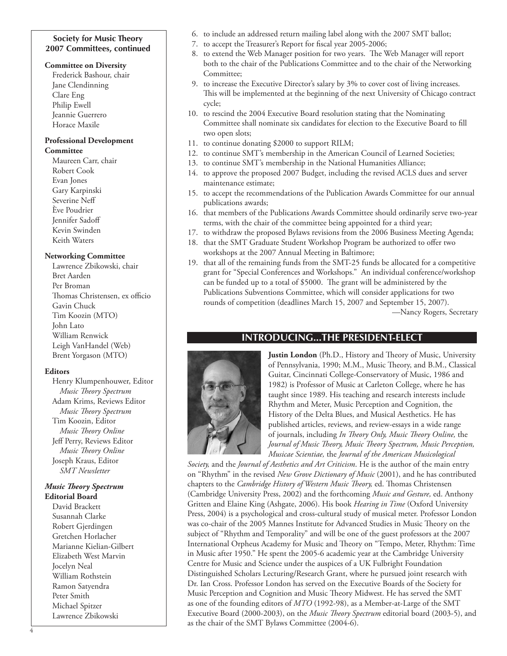## **Society for Music Theory 2007 Committees, continued**

#### **Committee on Diversity**

Frederick Bashour, chair Jane Clendinning Clare Eng Philip Ewell Jeannie Guerrero Horace Maxile

#### **Professional Development Committee**

Maureen Carr, chair Robert Cook Evan Jones Gary Karpinski Severine Neff Ève Poudrier Jennifer Sadoff Kevin Swinden Keith Waters

## **Networking Committee**

Lawrence Zbikowski, chair Bret Aarden Per Broman Thomas Christensen, ex officio Gavin Chuck Tim Koozin (MTO) John Lato William Renwick Leigh VanHandel (Web) Brent Yorgason (MTO)

## **Editors**

Henry Klumpenhouwer, Editor *Music Theory Spectrum* Adam Krims, Reviews Editor *Music Theory Spectrum* Tim Koozin, Editor *Music Theory Online* Jeff Perry, Reviews Editor *Music Theory Online* Joseph Kraus, Editor *SMT Newsletter*

### *Music Theory Spectrum* **Editorial Board**

David Brackett Susannah Clarke Robert Gjerdingen Gretchen Horlacher Marianne Kielian-Gilbert Elizabeth West Marvin Jocelyn Neal William Rothstein Ramon Satyendra Peter Smith Michael Spitzer Lawrence Zbikowski

- 6. to include an addressed return mailing label along with the 2007 SMT ballot;
- 7. to accept the Treasurer's Report for fiscal year 2005-2006;
- 8. to extend the Web Manager position for two years. The Web Manager will report both to the chair of the Publications Committee and to the chair of the Networking Committee;
- 9. to increase the Executive Director's salary by 3% to cover cost of living increases. This will be implemented at the beginning of the next University of Chicago contract cycle;
- 10. to rescind the 2004 Executive Board resolution stating that the Nominating Committee shall nominate six candidates for election to the Executive Board to fill two open slots;
- 11. to continue donating \$2000 to support RILM;
- 12. to continue SMT's membership in the American Council of Learned Societies;
- 13. to continue SMT's membership in the National Humanities Alliance;
- 14. to approve the proposed 2007 Budget, including the revised ACLS dues and server maintenance estimate;
- 15. to accept the recommendations of the Publication Awards Committee for our annual publications awards;
- 16. that members of the Publications Awards Committee should ordinarily serve two-year terms, with the chair of the committee being appointed for a third year;
- 17. to withdraw the proposed Bylaws revisions from the 2006 Business Meeting Agenda;
- 18. that the SMT Graduate Student Workshop Program be authorized to offer two workshops at the 2007 Annual Meeting in Baltimore;
- 19. that all of the remaining funds from the SMT-25 funds be allocated for a competitive grant for "Special Conferences and Workshops." An individual conference/workshop can be funded up to a total of \$5000. The grant will be administered by the Publications Subventions Committee, which will consider applications for two rounds of competition (deadlines March 15, 2007 and September 15, 2007).

—Nancy Rogers, Secretary

# **introducing...the president-elect**



**Justin London** (Ph.D., History and Theory of Music, University of Pennsylvania, 1990; M.M., Music Theory, and B.M., Classical Guitar, Cincinnati College-Conservatory of Music, 1986 and 1982) is Professor of Music at Carleton College, where he has taught since 1989. His teaching and research interests include Rhythm and Meter, Music Perception and Cognition, the History of the Delta Blues, and Musical Aesthetics. He has published articles, reviews, and review-essays in a wide range of journals, including *In Theory Only, Music Theory Online,* the *Journal of Music Theory, Music Theory Spectrum, Music Perception, Musicae Scientiae,* the *Journal of the American Musicological* 

*Society,* and the *Journal of Aesthetics and Art Criticism*. He is the author of the main entry on "Rhythm" in the revised *New Grove Dictionary of Music* (2001), and he has contributed chapters to the *Cambridge History of Western Music Theory,* ed. Thomas Christensen (Cambridge University Press, 2002) and the forthcoming *Music and Gesture,* ed. Anthony Gritten and Elaine King (Ashgate, 2006). His book *Hearing in Time* (Oxford University Press, 2004) is a psychological and cross-cultural study of musical meter. Professor London was co-chair of the 2005 Mannes Institute for Advanced Studies in Music Theory on the subject of "Rhythm and Temporality" and will be one of the guest professors at the 2007 International Orpheus Academy for Music and Theory on "Tempo, Meter, Rhythm: Time in Music after 1950." He spent the 2005-6 academic year at the Cambridge University Centre for Music and Science under the auspices of a UK Fulbright Foundation Distinguished Scholars Lecturing/Research Grant, where he pursued joint research with Dr. Ian Cross. Professor London has served on the Executive Boards of the Society for Music Perception and Cognition and Music Theory Midwest. He has served the SMT as one of the founding editors of *MTO* (1992-98), as a Member-at-Large of the SMT Executive Board (2000-2003), on the *Music Theory Spectrum* editorial board (2003-5), and as the chair of the SMT Bylaws Committee (2004-6).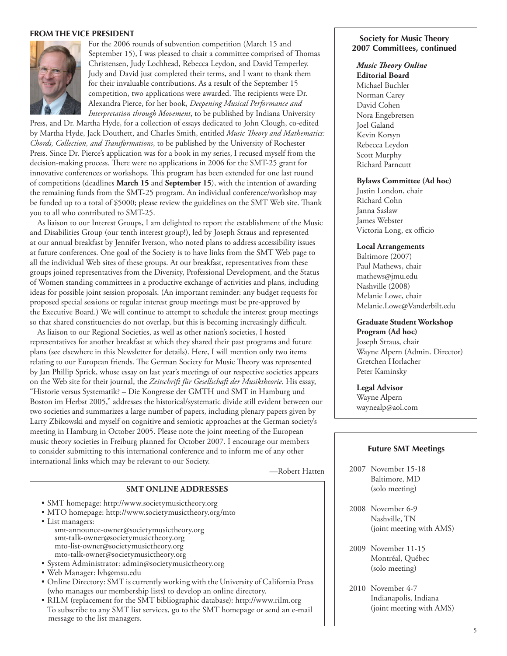#### **From the Vice PresidenT**



For the 2006 rounds of subvention competition (March 15 and September 15), I was pleased to chair a committee comprised of Thomas Christensen, Judy Lochhead, Rebecca Leydon, and David Temperley. Judy and David just completed their terms, and I want to thank them for their invaluable contributions. As a result of the September 15 competition, two applications were awarded. The recipients were Dr. Alexandra Pierce, for her book, *Deepening Musical Performance and Interpretation through Movement*, to be published by Indiana University

Press, and Dr. Martha Hyde, for a collection of essays dedicated to John Clough, co-edited by Martha Hyde, Jack Douthett, and Charles Smith, entitled *Music Theory and Mathematics: Chords, Collection, and Transformations*, to be published by the University of Rochester Press. Since Dr. Pierce's application was for a book in my series, I recused myself from the decision-making process. There were no applications in 2006 for the SMT-25 grant for innovative conferences or workshops. This program has been extended for one last round of competitions (deadlines **March 15** and **September 15**), with the intention of awarding the remaining funds from the SMT-25 program. An individual conference/workshop may be funded up to a total of \$5000; please review the guidelines on the SMT Web site. Thank you to all who contributed to SMT-25.

As liaison to our Interest Groups, I am delighted to report the establishment of the Music and Disabilities Group (our tenth interest group!), led by Joseph Straus and represented at our annual breakfast by Jennifer Iverson, who noted plans to address accessibility issues at future conferences. One goal of the Society is to have links from the SMT Web page to all the individual Web sites of these groups. At our breakfast, representatives from these groups joined representatives from the Diversity, Professional Development, and the Status of Women standing committees in a productive exchange of activities and plans, including ideas for possible joint session proposals. (An important reminder: any budget requests for proposed special sessions or regular interest group meetings must be pre-approved by the Executive Board.) We will continue to attempt to schedule the interest group meetings so that shared constituencies do not overlap, but this is becoming increasingly difficult.

As liaison to our Regional Societies, as well as other nation's societies, I hosted representatives for another breakfast at which they shared their past programs and future plans (see elsewhere in this Newsletter for details). Here, I will mention only two items relating to our European friends. The German Society for Music Theory was represented by Jan Phillip Sprick, whose essay on last year's meetings of our respective societies appears on the Web site for their journal, the *Zeitschrift für Gesellschaft der Musiktheorie*. His essay, "Historie versus Systematik? – Die Kongresse der GMTH und SMT in Hamburg und Boston im Herbst 2005," addresses the historical/systematic divide still evident between our two societies and summarizes a large number of papers, including plenary papers given by Larry Zbikowski and myself on cognitive and semiotic approaches at the German society's meeting in Hamburg in October 2005. Please note the joint meeting of the European music theory societies in Freiburg planned for October 2007. I encourage our members to consider submitting to this international conference and to inform me of any other international links which may be relevant to our Society.

—Robert Hatten

## **SMT Online Addresses**

- SMT homepage: <http://www.societymusictheory.org>
- MTO homepage:<http://www.societymusictheory.org/mto>
- List managers: [smt-announce-owner@societymusictheory.org](mailto:smt-announce-owner@societymusictheory.org) [smt-talk-owner@societymusictheory.org](mailto:smt-talk-owner@societymusictheory.org) [mto-list-owner@societymusictheory.org](mailto:mto-list-owner@societymusictheory.org) [mto-talk-owner@societymusictheory.org](mailto:mto-talk-owner@societymusictheory.org)
- System Administrator: [admin@societymusictheory.org](mailto:admin@societymusictheory.org)
- Web Manager: [lvh@msu.edu](mailto:lvh@msu.edu)
- Online Directory: SMT is currently working with the University of California Press (who manages our membership lists) to develop an online directory.
- RILM (replacement for the SMT bibliographic database):<http://www.rilm.org> To subscribe to any SMT list services, go to the SMT homepage or send an e-mail message to the list managers.

#### **Society for Music Theory 2007 Committees, continued**

#### *Music Theory Online*

**Editorial Board** Michael Buchler Norman Carey David Cohen Nora Engebretsen Joel Galand Kevin Korsyn Rebecca Leydon Scott Murphy Richard Parncutt

#### **Bylaws Committee (Ad hoc)**

Justin London, chair Richard Cohn Janna Saslaw James Webster Victoria Long, ex officio

#### **Local Arrangements**

Baltimore (2007) Paul Mathews, chair [mathews@jmu.edu](mailto:mathews@jmu.edu) Nashville (2008) Melanie Lowe, chair [Melanie.Lowe@Vanderbilt.edu](mailto:Melanie.Lowe@Vanderbilt.edu)

#### **Graduate Student Workshop**

**Program (Ad hoc)** Joseph Straus, chair Wayne Alpern (Admin. Director) Gretchen Horlacher Peter Kaminsky

#### **Legal Advisor**

Wayne Alpern waynealp@aol.com

#### **Future SMT Meetings**

- 2007 November 15-18 Baltimore, MD (solo meeting)
- 2008 November 6-9 Nashville, TN (joint meeting with AMS)
- 2009 November 11-15 Montréal, Québec (solo meeting)
- 2010 November 4-7 Indianapolis, Indiana (joint meeting with AMS)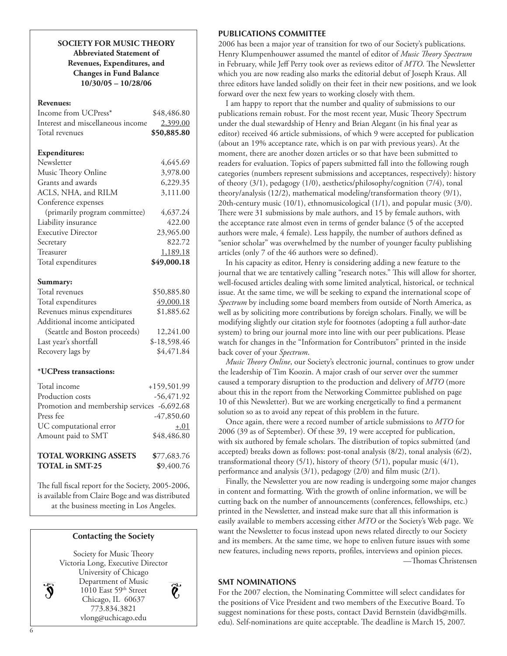**SOCIETY FOR MUSIC THEORY Abbreviated Statement of Revenues, Expenditures, and Changes in Fund Balance 10/30/05 – 10/28/06**

#### **Revenues:**

| Income from UCPress*              | \$48,486.80  |
|-----------------------------------|--------------|
| Interest and miscellaneous income | 2,399.00     |
| Total revenues                    | \$50,885.80  |
|                                   |              |
| <b>Expenditures:</b>              |              |
| Newsletter                        | 4,645.69     |
| Music Theory Online               | 3,978.00     |
| Grants and awards                 | 6,229.35     |
| ACLS, NHA, and RILM               | 3,111.00     |
| Conference expenses               |              |
| (primarily program committee)     | 4,637.24     |
| Liability insurance               | 422.00       |
| <b>Executive Director</b>         | 23,965.00    |
| Secretary                         | 822.72       |
| Treasurer                         | 1,189.18     |
| Total expenditures                | \$49,000.18  |
|                                   |              |
| Summary:                          |              |
| Total revenues                    | \$50,885.80  |
| Total expenditures                | 49,000.18    |
| Revenues minus expenditures       | \$1,885.62   |
| Additional income anticipated     |              |
| (Seattle and Boston proceeds)     | 12,241.00    |
| Last year's shortfall             | \$-18,598.46 |
| Recovery lags by                  | \$4,471.84   |
|                                   |              |
| *UCPress transactions:            |              |
| Total income                      | +159,501.99  |
| Production costs                  | $-56,471.92$ |
| Promotion and membership services | $-6,692.68$  |
| Press fee                         | $-47,850.60$ |
| UC computational error            | $+.01$       |
| Amount paid to SMT                | \$48,486.80  |
|                                   |              |

**TOTAL WORKING ASSETS \$**77,683.76 **TOTAL in SMT-25 \$**9,400.76

The full fiscal report for the Society, 2005-2006, is available from Claire Boge and was distributed at the business meeting in Los Angeles.

#### **Contacting the Society**



Q,

#### **PUBLICATIONS COMMITTEE**

2006 has been a major year of transition for two of our Society's publications. Henry Klumpenhouwer assumed the mantel of editor of *Music Theory Spectrum* in February, while Jeff Perry took over as reviews editor of *MTO*. The Newsletter which you are now reading also marks the editorial debut of Joseph Kraus. All three editors have landed solidly on their feet in their new positions, and we look forward over the next few years to working closely with them.

I am happy to report that the number and quality of submissions to our publications remain robust. For the most recent year, Music Theory Spectrum under the dual stewardship of Henry and Brian Alegant (in his final year as editor) received 46 article submissions, of which 9 were accepted for publication (about an 19% acceptance rate, which is on par with previous years). At the moment, there are another dozen articles or so that have been submitted to readers for evaluation. Topics of papers submitted fall into the following rough categories (numbers represent submissions and acceptances, respectively): history of theory (3/1), pedagogy (1/0), aesthetics/philosophy/cognition (7/4), tonal theory/analysis (12/2), mathematical modeling/transformation theory (9/1), 20th-century music (10/1), ethnomusicological (1/1), and popular music (3/0). There were 31 submissions by male authors, and 15 by female authors, with the acceptance rate almost even in terms of gender balance (5 of the accepted authors were male, 4 female). Less happily, the number of authors defined as "senior scholar" was overwhelmed by the number of younger faculty publishing articles (only 7 of the 46 authors were so defined).

In his capacity as editor, Henry is considering adding a new feature to the journal that we are tentatively calling "research notes." This will allow for shorter, well-focused articles dealing with some limited analytical, historical, or technical issue. At the same time, we will be seeking to expand the international scope of *Spectrum* by including some board members from outside of North America, as well as by soliciting more contributions by foreign scholars. Finally, we will be modifying slightly our citation style for footnotes (adopting a full author-date system) to bring our journal more into line with our peer publications. Please watch for changes in the "Information for Contributors" printed in the inside back cover of your *Spectrum*.

*Music Theory Online*, our Society's electronic journal, continues to grow under the leadership of Tim Koozin. A major crash of our server over the summer caused a temporary disruption to the production and delivery of *MTO* (more about this in the report from the Networking Committee published on page 10 of this Newsletter). But we are working energetically to find a permanent solution so as to avoid any repeat of this problem in the future.

Once again, there were a record number of article submissions to *MTO* for 2006 (39 as of September). Of these 39, 19 were accepted for publication, with six authored by female scholars. The distribution of topics submitted (and accepted) breaks down as follows: post-tonal analysis (8/2), tonal analysis (6/2), transformational theory (5/1), history of theory (5/1), popular music (4/1), performance and analysis (3/1), pedagogy (2/0) and film music (2/1).

Finally, the Newsletter you are now reading is undergoing some major changes in content and formatting. With the growth of online information, we will be cutting back on the number of announcements (conferences, fellowships, etc.) printed in the Newsletter, and instead make sure that all this information is easily available to members accessing either *MTO* or the Society's Web page. We want the Newsletter to focus instead upon news related directly to our Society and its members. At the same time, we hope to enliven future issues with some new features, including news reports, profiles, interviews and opinion pieces. —Thomas Christensen

## **SMT Nominations**

For the 2007 election, the Nominating Committee will select candidates for the positions of Vice President and two members of the Executive Board. To suggest nominations for these posts, contact David Bernstein [\(davidb@mills.](mailto:davidb@mills.edu) [edu\)](mailto:davidb@mills.edu). Self-nominations are quite acceptable. The deadline is March 15, 2007.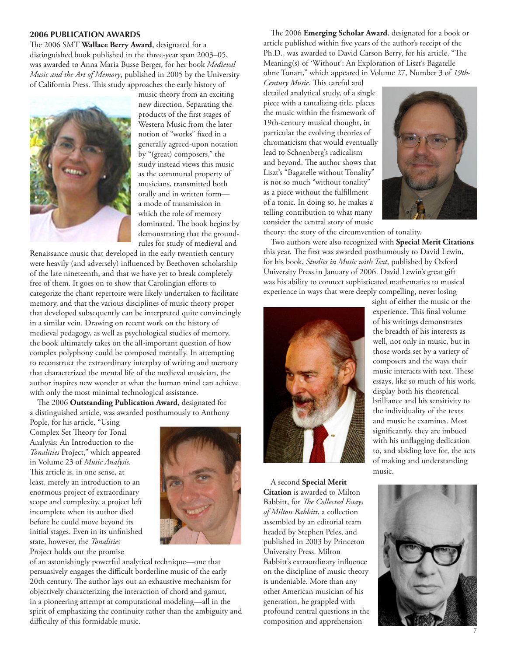#### **2006 PUBLICATION AWARDS**

The 2006 SMT **Wallace Berry Award**, designated for a distinguished book published in the three-year span 2003–05, was awarded to Anna Maria Busse Berger, for her book *Medieval Music and the Art of Memory*, published in 2005 by the University of California Press. This study approaches the early history of



music theory from an exciting new direction. Separating the products of the first stages of Western Music from the later notion of "works" fixed in a generally agreed-upon notation by "(great) composers," the study instead views this music as the communal property of musicians, transmitted both orally and in written form a mode of transmission in which the role of memory dominated. The book begins by demonstrating that the groundrules for study of medieval and

Renaissance music that developed in the early twentieth century were heavily (and adversely) influenced by Beethoven scholarship of the late nineteenth, and that we have yet to break completely free of them. It goes on to show that Carolingian efforts to categorize the chant repertoire were likely undertaken to facilitate memory, and that the various disciplines of music theory proper that developed subsequently can be interpreted quite convincingly in a similar vein. Drawing on recent work on the history of medieval pedagogy, as well as psychological studies of memory, the book ultimately takes on the all-important question of how complex polyphony could be composed mentally. In attempting to reconstruct the extraordinary interplay of writing and memory that characterized the mental life of the medieval musician, the author inspires new wonder at what the human mind can achieve with only the most minimal technological assistance.

The 2006 **Outstanding Publication Award**, designated for a distinguished article, was awarded posthumously to Anthony

Pople, for his article, "Using Complex Set Theory for Tonal Analysis: An Introduction to the *Tonalities* Project," which appeared in Volume 23 of *Music Analysis*. This article is, in one sense, at least, merely an introduction to an enormous project of extraordinary scope and complexity, a project left incomplete when its author died before he could move beyond its initial stages. Even in its unfinished state, however, the *Tonalities* Project holds out the promise



of an astonishingly powerful analytical technique—one that persuasively engages the difficult borderline music of the early 20th century. The author lays out an exhaustive mechanism for objectively characterizing the interaction of chord and gamut, in a pioneering attempt at computational modeling—all in the spirit of emphasizing the continuity rather than the ambiguity and difficulty of this formidable music.

The 2006 **Emerging Scholar Award**, designated for a book or article published within five years of the author's receipt of the Ph.D., was awarded to David Carson Berry, for his article, "The Meaning(s) of 'Without': An Exploration of Liszt's Bagatelle ohne Tonart," which appeared in Volume 27, Number 3 of *19th-*

*Century Music*. This careful and detailed analytical study, of a single piece with a tantalizing title, places the music within the framework of 19th-century musical thought, in particular the evolving theories of chromaticism that would eventually lead to Schoenberg's radicalism and beyond. The author shows that Liszt's "Bagatelle without Tonality" is not so much "without tonality" as a piece without the fulfillment of a tonic. In doing so, he makes a telling contribution to what many consider the central story of music



theory: the story of the circumvention of tonality.

Two authors were also recognized with **Special Merit Citations** this year. The first was awarded posthumously to David Lewin, for his book, *Studies in Music with Text*, published by Oxford University Press in January of 2006. David Lewin's great gift was his ability to connect sophisticated mathematics to musical experience in ways that were deeply compelling, never losing



A second **Special Merit Citation** is awarded to Milton Babbitt, for *The Collected Essays of Milton Babbitt*, a collection assembled by an editorial team headed by Stephen Peles, and published in 2003 by Princeton University Press. Milton Babbitt's extraordinary influence on the discipline of music theory is undeniable. More than any other American musician of his generation, he grappled with profound central questions in the composition and apprehension

sight of either the music or the experience. This final volume of his writings demonstrates the breadth of his interests as well, not only in music, but in those words set by a variety of composers and the ways their music interacts with text. These essays, like so much of his work, display both his theoretical brilliance and his sensitivity to the individuality of the texts and music he examines. Most significantly, they are imbued with his unflagging dedication to, and abiding love for, the acts of making and understanding music.

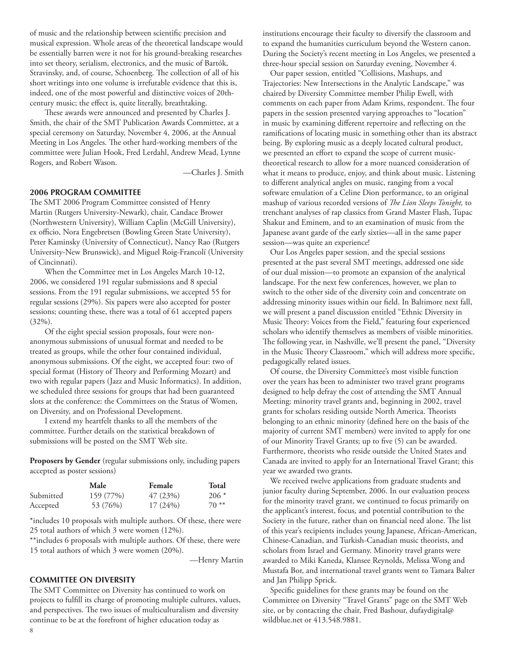of music and the relationship between scientific precision and musical expression. Whole areas of the theoretical landscape would be essentially barren were it not for his ground-breaking researches into set theory, serialism, electronics, and the music of Bartók, Stravinsky, and, of course, Schoenberg. The collection of all of his short writings into one volume is irrefutable evidence that this is, indeed, one of the most powerful and distinctive voices of 20thcentury music; the effect is, quite literally, breathtaking.

These awards were announced and presented by Charles J. Smith, the chair of the SMT Publication Awards Committee, at a special ceremony on Saturday, November 4, 2006, at the Annual Meeting in Los Angeles. The other hard-working members of the committee were Julian Hook, Fred Lerdahl, Andrew Mead, Lynne Rogers, and Robert Wason.

—Charles J. Smith

## **2006 PROGRAM COMMITTEE**

The SMT 2006 Program Committee consisted of Henry Martin (Rutgers University-Newark), chair, Candace Brower (Northwestern University), William Caplin (McGill University), ex officio, Nora Engebretsen (Bowling Green State University), Peter Kaminsky (University of Connecticut), Nancy Rao (Rutgers University-New Brunswick), and Miguel Roig-Francolí (University of Cincinnati).

When the Committee met in Los Angeles March 10-12, 2006, we considered 191 regular submissions and 8 special sessions. From the 191 regular submissions, we accepted 55 for regular sessions (29%). Six papers were also accepted for poster sessions; counting these, there was a total of 61 accepted papers (32%).

Of the eight special session proposals, four were nonanonymous submissions of unusual format and needed to be treated as groups, while the other four contained individual, anonymous submissions. Of the eight, we accepted four: two of special format (History of Theory and Performing Mozart) and two with regular papers (Jazz and Music Informatics). In addition, we scheduled three sessions for groups that had been guaranteed slots at the conference: the Committees on the Status of Women, on Diversity, and on Professional Development.

I extend my heartfelt thanks to all the members of the committee. Further details on the statistical breakdown of submissions will be posted on the SMT Web site.

**Proposers by Gender** (regular submissions only, including papers accepted as poster sessions)

|           | Male      | Female     | <b>Total</b> |
|-----------|-----------|------------|--------------|
| Submitted | 159 (77%) | 47(23%)    | $206*$       |
| Accepted  | 53 (76%)  | $17(24\%)$ | $70**$       |

\*includes 10 proposals with multiple authors. Of these, there were 25 total authors of which 3 were women (12%).

\*\*includes 6 proposals with multiple authors. Of these, there were 15 total authors of which 3 were women (20%).

—Henry Martin

## **COMMITTEE ON DIVERSITY**

The SMT Committee on Diversity has continued to work on projects to fulfill its charge of promoting multiple cultures, values, and perspectives. The two issues of multiculturalism and diversity continue to be at the forefront of higher education today as

institutions encourage their faculty to diversify the classroom and to expand the humanities curriculum beyond the Western canon. During the Society's recent meeting in Los Angeles, we presented a three-hour special session on Saturday evening, November 4.

Our paper session, entitled "Collisions, Mashups, and Trajectories: New Intersections in the Analytic Landscape," was chaired by Diversity Committee member Philip Ewell, with comments on each paper from Adam Krims, respondent. The four papers in the session presented varying approaches to "location" in music by examining different repertoire and reflecting on the ramifications of locating music in something other than its abstract being. By exploring music as a deeply located cultural product, we presented an effort to expand the scope of current musictheoretical research to allow for a more nuanced consideration of what it means to produce, enjoy, and think about music. Listening to different analytical angles on music, ranging from a vocal software emulation of a Celine Dion performance, to an original mashup of various recorded versions of *The Lion Sleeps Tonight,* to trenchant analyses of rap classics from Grand Master Flash, Tupac Shakur and Eminem, and to an examination of music from the Japanese avant garde of the early sixties—all in the same paper session—was quite an experience!

Our Los Angeles paper session, and the special sessions presented at the past several SMT meetings, addressed one side of our dual mission—to promote an expansion of the analytical landscape. For the next few conferences, however, we plan to switch to the other side of the diversity coin and concentrate on addressing minority issues within our field. In Baltimore next fall, we will present a panel discussion entitled "Ethnic Diversity in Music Theory: Voices from the Field," featuring four experienced scholars who identify themselves as members of visible minorities. The following year, in Nashville, we'll present the panel, "Diversity in the Music Theory Classroom," which will address more specific, pedagogically related issues.

Of course, the Diversity Committee's most visible function over the years has been to administer two travel grant programs designed to help defray the cost of attending the SMT Annual Meeting: minority travel grants and, beginning in 2002, travel grants for scholars residing outside North America. Theorists belonging to an ethnic minority (defined here on the basis of the majority of current SMT members) were invited to apply for one of our Minority Travel Grants; up to five (5) can be awarded. Furthermore, theorists who reside outside the United States and Canada are invited to apply for an International Travel Grant; this year we awarded two grants.

We received twelve applications from graduate students and junior faculty during September, 2006. In our evaluation process for the minority travel grant, we continued to focus primarily on the applicant's interest, focus, and potential contribution to the Society in the future, rather than on financial need alone. The list of this year's recipients includes young Japanese, African-American, Chinese-Canadian, and Turkish-Canadian music theorists, and scholars from Israel and Germany. Minority travel grants were awarded to Miki Kaneda, Klansee Reynolds, Melissa Wong and Mustafa Bor, and international travel grants went to Tamara Balter and Jan Philipp Sprick.

Specific guidelines for these grants may be found on the Committee on Diversity "Travel Grants" page on the SMT Web site, or by contacting the chair, Fred Bashour, [dufaydigital@](mailto:dufaydigital@wildblue.net) [wildblue.net](mailto:dufaydigital@wildblue.net) or 413.548.9881.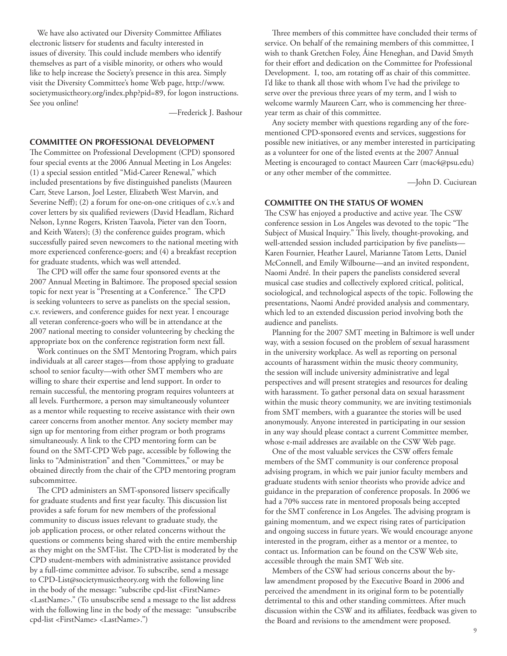We have also activated our Diversity Committee Affiliates electronic listserv for students and faculty interested in issues of diversity. This could include members who identify themselves as part of a visible minority, or others who would like to help increase the Society's presence in this area. Simply visit the Diversity Committee's home Web page, [http://www.](http://www.societymusictheory.org/index.php?pid=89) [societymusictheory.org/index.php?pid=89](http://www.societymusictheory.org/index.php?pid=89), for logon instructions. See you online!

—Frederick J. Bashour

## **Committee on Professional Development**

The Committee on Professional Development (CPD) sponsored four special events at the 2006 Annual Meeting in Los Angeles: (1) a special session entitled "Mid-Career Renewal," which included presentations by five distinguished panelists (Maureen Carr, Steve Larson, Joel Lester, Elizabeth West Marvin, and Severine Neff); (2) a forum for one-on-one critiques of c.v.'s and cover letters by six qualified reviewers (David Headlam, Richard Nelson, Lynne Rogers, Kristen Taavola, Pieter van den Toorn, and Keith Waters); (3) the conference guides program, which successfully paired seven newcomers to the national meeting with more experienced conference-goers; and (4) a breakfast reception for graduate students, which was well attended.

The CPD will offer the same four sponsored events at the 2007 Annual Meeting in Baltimore. The proposed special session topic for next year is "Presenting at a Conference." The CPD is seeking volunteers to serve as panelists on the special session, c.v. reviewers, and conference guides for next year. I encourage all veteran conference-goers who will be in attendance at the 2007 national meeting to consider volunteering by checking the appropriate box on the conference registration form next fall.

Work continues on the SMT Mentoring Program, which pairs individuals at all career stages—from those applying to graduate school to senior faculty—with other SMT members who are willing to share their expertise and lend support. In order to remain successful, the mentoring program requires volunteers at all levels. Furthermore, a person may simultaneously volunteer as a mentor while requesting to receive assistance with their own career concerns from another mentor. Any society member may sign up for mentoring from either program or both programs simultaneously. A link to the CPD mentoring form can be found on the SMT-CPD Web page, accessible by following the links to "Administration" and then "Committees," or may be obtained directly from the chair of the CPD mentoring program subcommittee.

The CPD administers an SMT-sponsored listserv specifically for graduate students and first year faculty. This discussion list provides a safe forum for new members of the professional community to discuss issues relevant to graduate study, the job application process, or other related concerns without the questions or comments being shared with the entire membership as they might on the SMT-list. The CPD-list is moderated by the CPD student-members with administrative assistance provided by a full-time committee advisor. To subscribe, send a message to [CPD-List@societymusictheory.org](mailto:CPD-List@societymusictheory.org) with the following line in the body of the message: "subscribe cpd-list <FirstName> <LastName>." (To unsubscribe send a message to the list address with the following line in the body of the message: "unsubscribe cpd-list <FirstName> <LastName>.")

Three members of this committee have concluded their terms of service. On behalf of the remaining members of this committee, I wish to thank Gretchen Foley, Áine Heneghan, and David Smyth for their effort and dedication on the Committee for Professional Development. I, too, am rotating off as chair of this committee. I'd like to thank all those with whom I've had the privilege to serve over the previous three years of my term, and I wish to welcome warmly Maureen Carr, who is commencing her threeyear term as chair of this committee.

Any society member with questions regarding any of the forementioned CPD-sponsored events and services, suggestions for possible new initiatives, or any member interested in participating as a volunteer for one of the listed events at the 2007 Annual Meeting is encouraged to contact Maureen Carr ([mac4@psu.edu](mailto:mac4@psu.edu)) or any other member of the committee.

—John D. Cuciurean

#### **COMMITTEE ON THE STATUS OF WOMEN**

The CSW has enjoyed a productive and active year. The CSW conference session in Los Angeles was devoted to the topic "The Subject of Musical Inquiry." This lively, thought-provoking, and well-attended session included participation by five panelists— Karen Fournier, Heather Laurel, Marianne Tatom Letts, Daniel McConnell, and Emily Wilbourne—and an invited respondent, Naomi André. In their papers the panelists considered several musical case studies and collectively explored critical, political, sociological, and technological aspects of the topic. Following the presentations, Naomi André provided analysis and commentary, which led to an extended discussion period involving both the audience and panelists.

Planning for the 2007 SMT meeting in Baltimore is well under way, with a session focused on the problem of sexual harassment in the university workplace. As well as reporting on personal accounts of harassment within the music theory community, the session will include university administrative and legal perspectives and will present strategies and resources for dealing with harassment. To gather personal data on sexual harassment within the music theory community, we are inviting testimonials from SMT members, with a guarantee the stories will be used anonymously. Anyone interested in participating in our session in any way should please contact a current Committee member, whose e-mail addresses are available on the CSW Web page.

One of the most valuable services the CSW offers female members of the SMT community is our conference proposal advising program, in which we pair junior faculty members and graduate students with senior theorists who provide advice and guidance in the preparation of conference proposals. In 2006 we had a 70% success rate in mentored proposals being accepted for the SMT conference in Los Angeles. The advising program is gaining momentum, and we expect rising rates of participation and ongoing success in future years. We would encourage anyone interested in the program, either as a mentor or a mentee, to contact us. Information can be found on the CSW Web site, accessible through the main SMT Web site.

Members of the CSW had serious concerns about the bylaw amendment proposed by the Executive Board in 2006 and perceived the amendment in its original form to be potentially detrimental to this and other standing committees. After much discussion within the CSW and its affiliates, feedback was given to the Board and revisions to the amendment were proposed.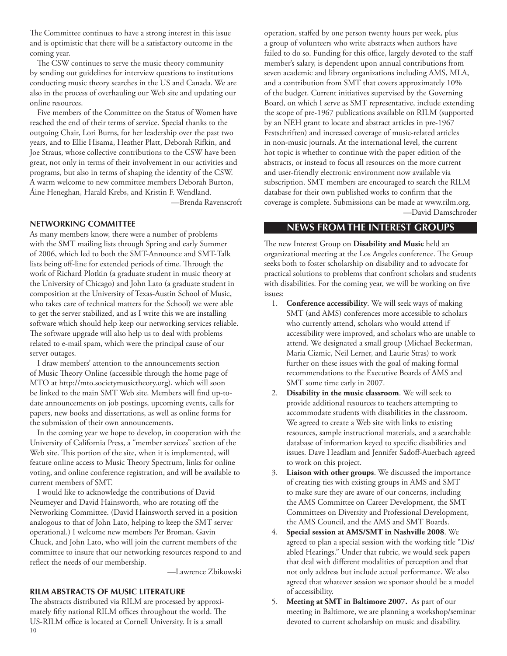The Committee continues to have a strong interest in this issue and is optimistic that there will be a satisfactory outcome in the coming year.

The CSW continues to serve the music theory community by sending out guidelines for interview questions to institutions conducting music theory searches in the US and Canada. We are also in the process of overhauling our Web site and updating our online resources.

Five members of the Committee on the Status of Women have reached the end of their terms of service. Special thanks to the outgoing Chair, Lori Burns, for her leadership over the past two years, and to Ellie Hisama, Heather Platt, Deborah Rifkin, and Joe Straus, whose collective contributions to the CSW have been great, not only in terms of their involvement in our activities and programs, but also in terms of shaping the identity of the CSW. A warm welcome to new committee members Deborah Burton, Áine Heneghan, Harald Krebs, and Kristin F. Wendland. —Brenda Ravenscroft

### **NETWORKING COMMITTEE**

As many members know, there were a number of problems with the SMT mailing lists through Spring and early Summer of 2006, which led to both the SMT-Announce and SMT-Talk lists being off-line for extended periods of time. Through the work of Richard Plotkin (a graduate student in music theory at the University of Chicago) and John Lato (a graduate student in composition at the University of Texas-Austin School of Music, who takes care of technical matters for the School) we were able to get the server stabilized, and as I write this we are installing software which should help keep our networking services reliable. The software upgrade will also help us to deal with problems related to e-mail spam, which were the principal cause of our server outages.

I draw members' attention to the announcements section of Music Theory Online (accessible through the home page of MTO at<http://mto.societymusictheory.org>), which will soon be linked to the main SMT Web site. Members will find up-todate announcements on job postings, upcoming events, calls for papers, new books and dissertations, as well as online forms for the submission of their own announcements.

In the coming year we hope to develop, in cooperation with the University of California Press, a "member services" section of the Web site. This portion of the site, when it is implemented, will feature online access to Music Theory Spectrum, links for online voting, and online conference registration, and will be available to current members of SMT.

I would like to acknowledge the contributions of David Neumeyer and David Hainsworth, who are rotating off the Networking Committee. (David Hainsworth served in a position analogous to that of John Lato, helping to keep the SMT server operational.) I welcome new members Per Broman, Gavin Chuck, and John Lato, who will join the current members of the committee to insure that our networking resources respond to and reflect the needs of our membership.

—Lawrence Zbikowski

## **RILM Abstracts of Music Literature**

10 The abstracts distributed via RILM are processed by approximately fifty national RILM offices throughout the world. The US-RILM office is located at Cornell University. It is a small

operation, staffed by one person twenty hours per week, plus a group of volunteers who write abstracts when authors have failed to do so. Funding for this office, largely devoted to the staff member's salary, is dependent upon annual contributions from seven academic and library organizations including AMS, MLA, and a contribution from SMT that covers approximately 10% of the budget. Current initiatives supervised by the Governing Board, on which I serve as SMT representative, include extending the scope of pre-1967 publications available on RILM (supported by an NEH grant to locate and abstract articles in pre-1967 Festschriften) and increased coverage of music-related articles in non-music journals. At the international level, the current hot topic is whether to continue with the paper edition of the abstracts, or instead to focus all resources on the more current and user-friendly electronic environment now available via subscription. SMT members are encouraged to search the RILM database for their own published works to confirm that the coverage is complete. Submissions can be made at<www.rilm.org>. —David Damschroder

## **news from the interest groups**

The new Interest Group on **Disability and Music** held an organizational meeting at the Los Angeles conference. The Group seeks both to foster scholarship on disability and to advocate for practical solutions to problems that confront scholars and students with disabilities. For the coming year, we will be working on five issues:

- 1. **Conference accessibility**. We will seek ways of making SMT (and AMS) conferences more accessible to scholars who currently attend, scholars who would attend if accessibility were improved, and scholars who are unable to attend. We designated a small group (Michael Beckerman, Maria Cizmic, Neil Lerner, and Laurie Stras) to work further on these issues with the goal of making formal recommendations to the Executive Boards of AMS and SMT some time early in 2007.
- 2. **Disability in the music classroom**. We will seek to provide additional resources to teachers attempting to accommodate students with disabilities in the classroom. We agreed to create a Web site with links to existing resources, sample instructional materials, and a searchable database of information keyed to specific disabilities and issues. Dave Headlam and Jennifer Sadoff-Auerbach agreed to work on this project.
- 3. **Liaison with other groups**. We discussed the importance of creating ties with existing groups in AMS and SMT to make sure they are aware of our concerns, including the AMS Committee on Career Development, the SMT Committees on Diversity and Professional Development, the AMS Council, and the AMS and SMT Boards.
- 4. **Special session at AMS/SMT in Nashville 2008**. We agreed to plan a special session with the working title "Dis/ abled Hearings." Under that rubric, we would seek papers that deal with different modalities of perception and that not only address but include actual performance. We also agreed that whatever session we sponsor should be a model of accessibility.
- 5. **Meeting at SMT in Baltimore 2007.** As part of our meeting in Baltimore, we are planning a workshop/seminar devoted to current scholarship on music and disability.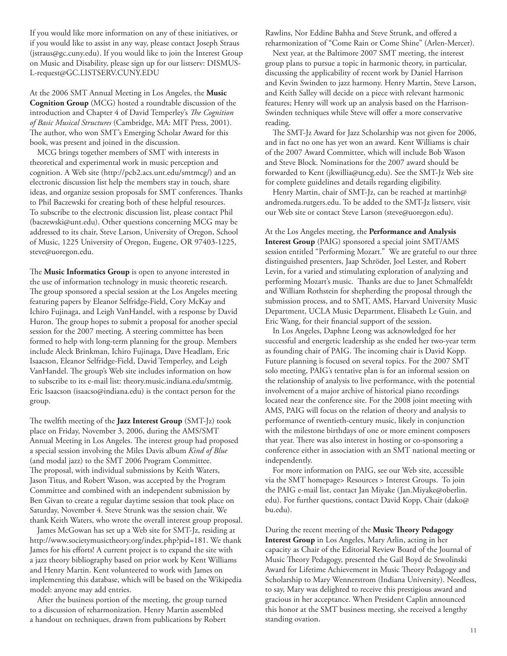If you would like more information on any of these initiatives, or if you would like to assist in any way, please contact Joseph Straus (jstraus@gc.cuny.edu). If you would like to join the Interest Group on Music and Disability, please sign up for our listserv: [DISMUS-](mailto:DISMUS-L-request@GC.LISTSERV.CUNY.EDU)[L-request@GC.LISTSERV.CUNY.EDU](mailto:DISMUS-L-request@GC.LISTSERV.CUNY.EDU)

At the 2006 SMT Annual Meeting in Los Angeles, the **Music Cognition Group** (MCG) hosted a roundtable discussion of the introduction and Chapter 4 of David Temperley's *The Cognition of Basic Musical Structures* (Cambridge, MA: MIT Press, 2001). The author, who won SMT's Emerging Scholar Award for this book, was present and joined in the discussion.

MCG brings together members of SMT with interests in theoretical and experimental work in music perception and cognition. A Web site [\(http://pcb2.acs.unt.edu/smtmcg/](http://pcb2.acs.unt.edu/smtmcg/)) and an electronic discussion list help the members stay in touch, share ideas, and organize session proposals for SMT conferences. Thanks to Phil Baczewski for creating both of these helpful resources. To subscribe to the electronic discussion list, please contact Phil [\(baczewski@unt.edu\)](mailto:baczewski@unt.edu). Other questions concerning MCG may be addressed to its chair, Steve Larson, University of Oregon, School of Music, 1225 University of Oregon, Eugene, OR 97403-1225, [steve@uoregon.edu.](mailto:steve@uoregon.edu)

The **Music Informatics Group** is open to anyone interested in the use of information technology in music theoretic research. The group sponsored a special session at the Los Angeles meeting featuring papers by Eleanor Selfridge-Field, Cory McKay and Ichiro Fujinaga, and Leigh VanHandel, with a response by David Huron. The group hopes to submit a proposal for another special session for the 2007 meeting. A steering committee has been formed to help with long-term planning for the group. Members include Aleck Brinkman, Ichiro Fujinaga, Dave Headlam, Eric Isaacson, Eleanor Selfridge-Field, David Temperley, and Leigh VanHandel. The group's Web site includes information on how to subscribe to its e-mail list: [theory.music.indiana.edu/smtmig.](theory.music.indiana.edu/smtmig) Eric Isaacson ([isaacso@indiana.edu\)](mailto:isaacso@indiana.edu) is the contact person for the group.

The twelfth meeting of the **Jazz Interest Group** (SMT-Jz) took place on Friday, November 3, 2006, during the AMS/SMT Annual Meeting in Los Angeles. The interest group had proposed a special session involving the Miles Davis album *Kind of Blue* (and modal jazz) to the SMT 2006 Program Committee. The proposal, with individual submissions by Keith Waters, Jason Titus, and Robert Wason, was accepted by the Program Committee and combined with an independent submission by Ben Givan to create a regular daytime session that took place on Saturday, November 4. Steve Strunk was the session chair. We thank Keith Waters, who wrote the overall interest group proposal.

James McGowan has set up a Web site for SMT-Jz, residing at <http://www.societymusictheory.org/index.php?pid=181>. We thank James for his efforts! A current project is to expand the site with a jazz theory bibliography based on prior work by Kent Williams and Henry Martin. Kent volunteered to work with James on implementing this database, which will be based on the Wikipedia model: anyone may add entries.

After the business portion of the meeting, the group turned to a discussion of reharmonization. Henry Martin assembled a handout on techniques, drawn from publications by Robert

Rawlins, Nor Eddine Bahha and Steve Strunk, and offered a reharmonization of "Come Rain or Come Shine" (Arlen-Mercer).

Next year, at the Baltimore 2007 SMT meeting, the interest group plans to pursue a topic in harmonic theory, in particular, discussing the applicability of recent work by Daniel Harrison and Kevin Swinden to jazz harmony. Henry Martin, Steve Larson, and Keith Salley will decide on a piece with relevant harmonic features; Henry will work up an analysis based on the Harrison-Swinden techniques while Steve will offer a more conservative reading.

The SMT-Jz Award for Jazz Scholarship was not given for 2006, and in fact no one has yet won an award. Kent Williams is chair of the 2007 Award Committee, which will include Bob Wason and Steve Block. Nominations for the 2007 award should be forwarded to Kent [\(jkwillia@uncg.edu](mailto:jkwillia@uncg.edu)). See the SMT-Jz Web site for complete guidelines and details regarding eligibility.

Henry Martin, chair of SMT-Jz, can be reached at [martinh@](mailto:martinh@andromeda.rutgers.edu) [andromeda.rutgers.edu.](mailto:martinh@andromeda.rutgers.edu) To be added to the SMT-Jz listserv, visit our Web site or contact Steve Larson [\(steve@uoregon.edu\)](mailto:steve@uoregon.edu).

At the Los Angeles meeting, the **Performance and Analysis Interest Group** (PAIG) sponsored a special joint SMT/AMS session entitled "Performing Mozart." We are grateful to our three distinguished presenters, Jaap Schröder, Joel Lester, and Robert Levin, for a varied and stimulating exploration of analyzing and performing Mozart's music. Thanks are due to Janet Schmalfeldt and William Rothstein for shepherding the proposal through the submission process, and to SMT, AMS, Harvard University Music Department, UCLA Music Department, Elisabeth Le Guin, and Eric Wang, for their financial support of the session.

In Los Angeles, Daphne Leong was acknowledged for her successful and energetic leadership as she ended her two-year term as founding chair of PAIG. The incoming chair is David Kopp. Future planning is focused on several topics. For the 2007 SMT solo meeting, PAIG's tentative plan is for an informal session on the relationship of analysis to live performance, with the potential involvement of a major archive of historical piano recordings located near the conference site. For the 2008 joint meeting with AMS, PAIG will focus on the relation of theory and analysis to performance of twentieth-century music, likely in conjunction with the milestone birthdays of one or more eminent composers that year. There was also interest in hosting or co-sponsoring a conference either in association with an SMT national meeting or independently.

For more information on PAIG, see our Web site, accessible via the SMT homepage> Resources > Interest Groups. To join the PAIG e-mail list, contact Jan Miyake ([Jan.Miyake@oberlin.](mailto:Jan.Miyake@oberlin.edu) [edu\)](mailto:Jan.Miyake@oberlin.edu). For further questions, contact David Kopp, Chair [\(dako@](mailto:dako@bu.edu) [bu.edu](mailto:dako@bu.edu)).

During the recent meeting of the **Music Theory Pedagogy Interest Group** in Los Angeles, Mary Arlin, acting in her capacity as Chair of the Editorial Review Board of the Journal of Music Theory Pedagogy, presented the Gail Boyd de Stwolinski Award for Lifetime Achievement in Music Theory Pedagogy and Scholarship to Mary Wennerstrom (Indiana University). Needless, to say, Mary was delighted to receive this prestigious award and gracious in her acceptance. When President Caplin announced this honor at the SMT business meeting, she received a lengthy standing ovation.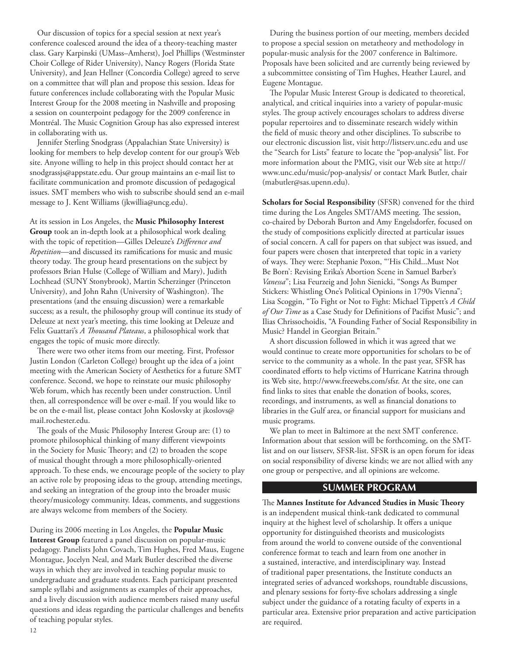Our discussion of topics for a special session at next year's conference coalesced around the idea of a theory-teaching master class. Gary Karpinski (UMass–Amherst), Joel Phillips (Westminster Choir College of Rider University), Nancy Rogers (Florida State University), and Jean Hellner (Concordia College) agreed to serve on a committee that will plan and propose this session. Ideas for future conferences include collaborating with the Popular Music Interest Group for the 2008 meeting in Nashville and proposing a session on counterpoint pedagogy for the 2009 conference in Montréal. The Music Cognition Group has also expressed interest in collaborating with us.

Jennifer Sterling Snodgrass (Appalachian State University) is looking for members to help develop content for our group's Web site. Anyone willing to help in this project should contact her at [snodgrassjs@appstate.edu](mailto:snodgrassjs@appstate.edu). Our group maintains an e-mail list to facilitate communication and promote discussion of pedagogical issues. SMT members who wish to subscribe should send an e-mail message to J. Kent Williams ([jkwillia@uncg.edu](mailto:jkwillia@uncg.edu)).

At its session in Los Angeles, the **Music Philosophy Interest Group** took an in-depth look at a philosophical work dealing with the topic of repetition—Gilles Deleuze's *Difference and Repetition*—and discussed its ramifications for music and music theory today. The group heard presentations on the subject by professors Brian Hulse (College of William and Mary), Judith Lochhead (SUNY Stonybrook), Martin Scherzinger (Princeton University), and John Rahn (University of Washington). The presentations (and the ensuing discussion) were a remarkable success; as a result, the philosophy group will continue its study of Deleuze at next year's meeting, this time looking at Deleuze and Felix Guattari's *A Thousand Plateaus*, a philosophical work that engages the topic of music more directly.

There were two other items from our meeting. First, Professor Justin London (Carleton College) brought up the idea of a joint meeting with the American Society of Aesthetics for a future SMT conference. Second, we hope to reinstate our music philosophy Web forum, which has recently been under construction. Until then, all correspondence will be over e-mail. If you would like to be on the e-mail list, please contact John Koslovsky at [jkoslovs@](mailto:jkoslovs@mail.rochester.edu) [mail.rochester.edu](mailto:jkoslovs@mail.rochester.edu).

The goals of the Music Philosophy Interest Group are: (1) to promote philosophical thinking of many different viewpoints in the Society for Music Theory; and (2) to broaden the scope of musical thought through a more philosophically-oriented approach. To these ends, we encourage people of the society to play an active role by proposing ideas to the group, attending meetings, and seeking an integration of the group into the broader music theory/musicology community. Ideas, comments, and suggestions are always welcome from members of the Society.

During its 2006 meeting in Los Angeles, the **Popular Music Interest Group** featured a panel discussion on popular-music pedagogy. Panelists John Covach, Tim Hughes, Fred Maus, Eugene Montague, Jocelyn Neal, and Mark Butler described the diverse ways in which they are involved in teaching popular music to undergraduate and graduate students. Each participant presented sample syllabi and assignments as examples of their approaches, and a lively discussion with audience members raised many useful questions and ideas regarding the particular challenges and benefits of teaching popular styles.

During the business portion of our meeting, members decided to propose a special session on metatheory and methodology in popular-music analysis for the 2007 conference in Baltimore. Proposals have been solicited and are currently being reviewed by a subcommittee consisting of Tim Hughes, Heather Laurel, and Eugene Montague.

The Popular Music Interest Group is dedicated to theoretical, analytical, and critical inquiries into a variety of popular-music styles. The group actively encourages scholars to address diverse popular repertoires and to disseminate research widely within the field of music theory and other disciplines. To subscribe to our electronic discussion list, visit <http://listserv.unc.edu> and use the "Search for Lists" feature to locate the "pop-analysis" list. For more information about the PMIG, visit our Web site at [http://](http://www.unc.edu/music/pop-analysis/) [www.unc.edu/music/pop-analysis/](http://www.unc.edu/music/pop-analysis/) or contact Mark Butler, chair [\(mabutler@sas.upenn.edu\)](mailto:mabutler@sas.upenn.edu).

**Scholars for Social Responsibility** (SFSR) convened for the third time during the Los Angeles SMT/AMS meeting. The session, co-chaired by Deborah Burton and Amy Engelsdorfer, focused on the study of compositions explicitly directed at particular issues of social concern. A call for papers on that subject was issued, and four papers were chosen that interpreted that topic in a variety of ways. They were: Stephanie Poxon, "'His Child...Must Not Be Born': Revising Erika's Abortion Scene in Samuel Barber's *Vanessa*"; Lisa Feurzeig and John Sienicki, "Songs As Bumper Stickers: Whistling One's Political Opinions in 1790s Vienna"; Lisa Scoggin, "To Fight or Not to Fight: Michael Tippett's *A Child of Our Time* as a Case Study for Definitions of Pacifist Music"; and Ilias Chrissochoidis, "A Founding Father of Social Responsibility in Music? Handel in Georgian Britain."

A short discussion followed in which it was agreed that we would continue to create more opportunities for scholars to be of service to the community as a whole. In the past year, SFSR has coordinated efforts to help victims of Hurricane Katrina through its Web site, [http://www.freewebs.com/sfsr.](http://www.freewebs.com/sfsr) At the site, one can find links to sites that enable the donation of books, scores, recordings, and instruments, as well as financial donations to libraries in the Gulf area, or financial support for musicians and music programs.

We plan to meet in Baltimore at the next SMT conference. Information about that session will be forthcoming, on the SMTlist and on our listserv, SFSR-list. SFSR is an open forum for ideas on social responsibility of diverse kinds; we are not allied with any one group or perspective, and all opinions are welcome.

# **summer program**

The **Mannes Institute for Advanced Studies in Music Theory** is an independent musical think-tank dedicated to communal inquiry at the highest level of scholarship. It offers a unique opportunity for distinguished theorists and musicologists from around the world to convene outside of the conventional conference format to teach and learn from one another in a sustained, interactive, and interdisciplinary way. Instead of traditional paper presentations, the Institute conducts an integrated series of advanced workshops, roundtable discussions, and plenary sessions for forty-five scholars addressing a single subject under the guidance of a rotating faculty of experts in a particular area. Extensive prior preparation and active participation are required.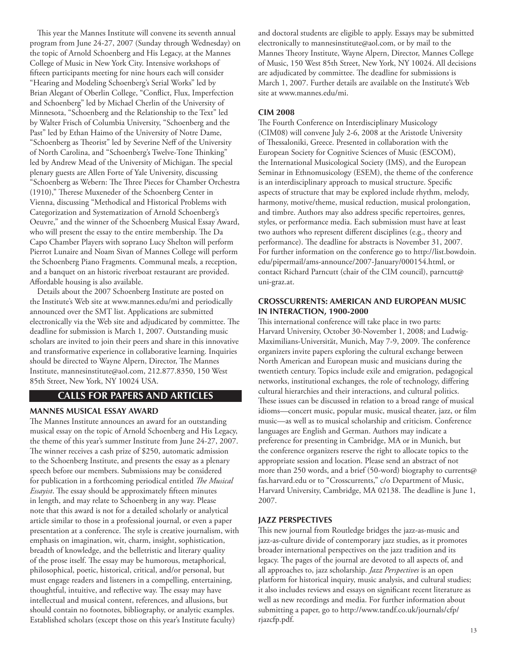This year the Mannes Institute will convene its seventh annual program from June 24-27, 2007 (Sunday through Wednesday) on the topic of Arnold Schoenberg and His Legacy, at the Mannes College of Music in New York City. Intensive workshops of fifteen participants meeting for nine hours each will consider "Hearing and Modeling Schoenberg's Serial Works" led by Brian Alegant of Oberlin College, "Conflict, Flux, Imperfection and Schoenberg" led by Michael Cherlin of the University of Minnesota, "Schoenberg and the Relationship to the Text" led by Walter Frisch of Columbia University, "Schoenberg and the Past" led by Ethan Haimo of the University of Notre Dame, "Schoenberg as Theorist" led by Severine Neff of the University of North Carolina, and "Schoenberg's Twelve-Tone Thinking" led by Andrew Mead of the University of Michigan. The special plenary guests are Allen Forte of Yale University, discussing "Schoenberg as Webern: The Three Pieces for Chamber Orchestra (1910)," Therese Muxeneder of the Schoenberg Center in Vienna, discussing "Methodical and Historical Problems with Categorization and Systematization of Arnold Schoenberg's Oeuvre," and the winner of the Schoenberg Musical Essay Award, who will present the essay to the entire membership. The Da Capo Chamber Players with soprano Lucy Shelton will perform Pierrot Lunaire and Noam Sivan of Mannes College will perform the Schoenberg Piano Fragments. Communal meals, a reception, and a banquet on an historic riverboat restaurant are provided. Affordable housing is also available.

Details about the 2007 Schoenberg Institute are posted on the Institute's Web site at www.mannes.edu/mi and periodically announced over the SMT list. Applications are submitted electronically via the Web site and adjudicated by committee. The deadline for submission is March 1, 2007. Outstanding music scholars are invited to join their peers and share in this innovative and transformative experience in collaborative learning. Inquiries should be directed to Wayne Alpern, Director, The Mannes Institute, [mannesinstitute@aol.com](mailto:mannesinstitute@aol.com), 212.877.8350, 150 West 85th Street, New York, NY 10024 USA.

## **calls for papers and articles**

#### **Mannes Musical Essay Award**

The Mannes Institute announces an award for an outstanding musical essay on the topic of Arnold Schoenberg and His Legacy, the theme of this year's summer Institute from June 24-27, 2007. The winner receives a cash prize of \$250, automatic admission to the Schoenberg Institute, and presents the essay as a plenary speech before our members. Submissions may be considered for publication in a forthcoming periodical entitled *The Musical Essayist*. The essay should be approximately fifteen minutes in length, and may relate to Schoenberg in any way. Please note that this award is not for a detailed scholarly or analytical article similar to those in a professional journal, or even a paper presentation at a conference. The style is creative journalism, with emphasis on imagination, wit, charm, insight, sophistication, breadth of knowledge, and the belletristic and literary quality of the prose itself. The essay may be humorous, metaphorical, philosophical, poetic, historical, critical, and/or personal, but must engage readers and listeners in a compelling, entertaining, thoughtful, intuitive, and reflective way. The essay may have intellectual and musical content, references, and allusions, but should contain no footnotes, bibliography, or analytic examples. Established scholars (except those on this year's Institute faculty)

and doctoral students are eligible to apply. Essays may be submitted electronically to [mannesinstitute@aol.com](mailto:mannesinstitute@aol.com), or by mail to the Mannes Theory Institute, Wayne Alpern, Director, Mannes College of Music, 150 West 85th Street, New York, NY 10024. All decisions are adjudicated by committee. The deadline for submissions is March 1, 2007. Further details are available on the Institute's Web site at <www.mannes.edu/mi>.

## **CIM 2008**

The Fourth Conference on Interdisciplinary Musicology (CIM08) will convene July 2-6, 2008 at the Aristotle University of Thessaloniki, Greece. Presented in collaboration with the European Society for Cognitive Sciences of Music (ESCOM), the International Musicological Society (IMS), and the European Seminar in Ethnomusicology (ESEM), the theme of the conference is an interdisciplinary approach to musical structure. Specific aspects of structure that may be explored include rhythm, melody, harmony, motive/theme, musical reduction, musical prolongation, and timbre. Authors may also address specific repertoires, genres, styles, or performance media. Each submission must have at least two authors who represent different disciplines (e.g., theory and performance). The deadline for abstracts is November 31, 2007. For further information on the conference go to [http://list.bowdoin.](http://list.bowdoin.edu/pipermail/ams-announce/2007-January/000154.html) [edu/pipermail/ams-announce/2007-January/000154.html,](http://list.bowdoin.edu/pipermail/ams-announce/2007-January/000154.html) or contact Richard Parncutt (chair of the CIM council), [parncutt@](mailto:parncutt@uni-graz.at) [uni-graz.at](mailto:parncutt@uni-graz.at).

## **Crosscurrents: American and European Music in Interaction, 1900-2000**

This international conference will take place in two parts: Harvard University, October 30-November 1, 2008; and Ludwig-Maximilians-Universität, Munich, May 7-9, 2009. The conference organizers invite papers exploring the cultural exchange between North American and European music and musicians during the twentieth century. Topics include exile and emigration, pedagogical networks, institutional exchanges, the role of technology, differing cultural hierarchies and their interactions, and cultural politics. These issues can be discussed in relation to a broad range of musical idioms—concert music, popular music, musical theater, jazz, or film music—as well as to musical scholarship and criticism. Conference languages are English and German. Authors may indicate a preference for presenting in Cambridge, MA or in Munich, but the conference organizers reserve the right to allocate topics to the appropriate session and location. Please send an abstract of not more than 250 words, and a brief (50-word) biography to [currents@](mailto:currents@fas.harvard.edu) [fas.harvard.edu](mailto:currents@fas.harvard.edu) or to "Crosscurrents," c/o Department of Music, Harvard University, Cambridge, MA 02138. The deadline is June 1, 2007.

## **Jazz Perspectives**

This new journal from Routledge bridges the jazz-as-music and jazz-as-culture divide of contemporary jazz studies, as it promotes broader international perspectives on the jazz tradition and its legacy. The pages of the journal are devoted to all aspects of, and all approaches to, jazz scholarship. *Jazz Perspectives* is an open platform for historical inquiry, music analysis, and cultural studies; it also includes reviews and essays on significant recent literature as well as new recordings and media. For further information about submitting a paper, go to [http://www.tandf.co.uk/journals/cfp/](http://www.tandf.co.uk/journals/cfp/rjazcfp.pdf) [rjazcfp.pdf.](http://www.tandf.co.uk/journals/cfp/rjazcfp.pdf)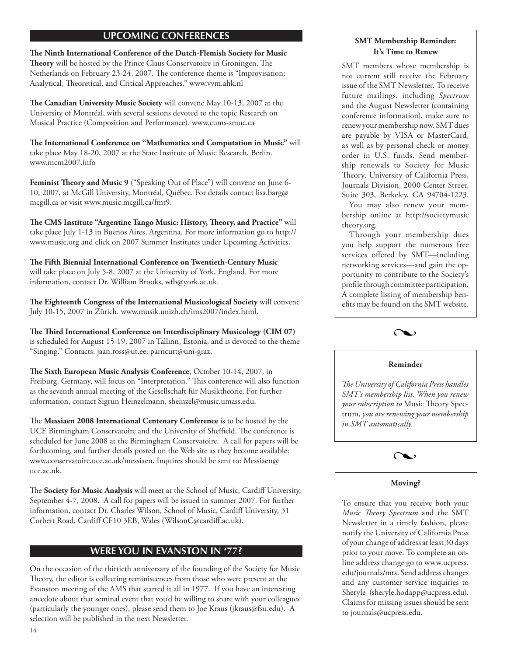# **upcoming conferences**

**The Ninth International Conference of the Dutch-Flemish Society for Music Theory** will be hosted by the Prince Claus Conservatoire in Groningen, The Netherlands on February 23-24, 2007. The conference theme is "Improvisation: Analytical, Theoretical, and Critical Approaches." [www.vvm.ahk.nl](http://www.vvm.ahk.nl)

**The Canadian University Music Society** will convene May 10-13, 2007 at the University of Montréal, with several sessions devoted to the topic Research on Musical Practice (Composition and Performance). [www.cums-smuc.ca](http://www.cums-smuc.ca)

**The International Conference on "Mathematics and Computation in Music"** will take place May 18-20, 2007 at the State Institute of Music Research, Berlin. [www.mcm2007.info](http://www.mcm2007.info)

**Feminist Theory and Music 9** ("Speaking Out of Place") will convene on June 6- 10, 2007, at McGill University, Montréal, Québec. For details contact [lisa.barg@](mailto:lisa.barg@mcgill.ca) [mcgill.ca](mailto:lisa.barg@mcgill.ca) or visit [www.music.mcgill.ca/fmt9](http://www.music.mcgill.ca/fmt9).

**The CMS Institute "Argentine Tango Music: History, Theory, and Practice"** will take place July 1-13 in Buenos Aires, Argentina. For more information go to [http://](http://www.music.org) [www.music.org](http://www.music.org) and click on 2007 Summer Institutes under Upcoming Activities.

**The Fifth Biennial International Conference on Twentieth-Century Music** will take place on July 5-8, 2007 at the University of York, England. For more information, contact Dr. William Brooks, [wfb@york.ac.uk.](mailto:wfb@york.ac.uk)

**The Eighteenth Congress of the International Musicological Society** will convene July 10-15, 2007 in Zürich. [www.musik.unizh.ch/ims2007/index.html.](www.musik.unizh.ch/ims2007/index.html)

**The Third International Conference on Interdisciplinary Musicology (CIM 07)** is scheduled for August 15-19, 2007 in Tallinn, Estonia, and is devoted to the theme "Singing." Contacts: [jaan.ross@ut.ee](mailto:jaan.ross@ut.ee); [parncutt@uni-graz.](mailto:parncutt@uni-graz.at)

The Sixth European Music Analysis Conference, October 10-14, 2007, in Freiburg, Germany, will focus on "Interpretation." This conference will also function as the seventh annual meeting of the Gesellschaft für Musiktheorie. For further information, contact Sigrun Heinzelmann, [sheinzel@music.umass.edu](mailto:sheinzel@music.umass.edu).

The **Messiaen 2008 International Centenary Conference** is to be hosted by the UCE Birmingham Conservatoire and the University of Sheffield. The conference is scheduled for June 2008 at the Birmingham Conservatoire. A call for papers will be forthcoming, and further details posted on the Web site as they become available: [www.conservatoire.uce.ac.uk/messiaen](http://www.conservatoire.uce.ac.uk/messiaen). Inquires should be sent to: [Messiaen@](mailto:Messiaen@uce.ac.uk) [uce.ac.uk](mailto:Messiaen@uce.ac.uk).

The **Society for Music Analysis** will meet at the School of Music, Cardiff University, September 4-7, 2008. A call for papers will be issued in summer 2007. For further information, contact Dr. Charles Wilson, School of Music, Cardiff University, 31 Corbett Road, Cardiff CF10 3EB, Wales ([WilsonC@cardiff.ac.uk\)](mailto:WilsonC@cardiff.ac.uk).

## **were you in evanston in '77?**

On the occasion of the thirtieth anniversary of the founding of the Society for Music Theory, the editor is collecting reminiscences from those who were present at the Evanston meeting of the AMS that started it all in 1977. If you have an interesting anecdote about that seminal event that you'd be willing to share with your colleagues (particularly the younger ones), please send them to Joe Kraus [\(jkraus@fsu.edu](mailto:jkraus@fsu.edu)). A selection will be published in the next Newsletter.

## **SMT Membership Reminder: It's Time to Renew**

SMT members whose membership is not current still receive the February issue of the SMT Newsletter. To receive future mailings, including *Spectrum* and the August Newsletter (containing conference information), make sure to renew your membership now. SMT dues are payable by VISA or MasterCard, as well as by personal check or money order in U.S. funds. Send membership renewals to Society for Music Theory, University of California Press, Journals Division, 2000 Center Street, Suite 303, Berkeley, CA 94704-1223.

You may also renew your membership online at [http://societymusic](http://societymusic theory.org) [theory.org.](http://societymusic theory.org)

Through your membership dues you help support the numerous free services offered by SMT—including networking services—and gain the opportunity to contribute to the Society's profile through committee participation. A complete listing of membership benefits may be found on the SMT website.



## **Reminder**

*The University of California Press handles SMT's membership list. When you renew your subscription to* Music Theory Spectrum, *you are renewing your membership in SMT automatically.*



## **Moving?**

To ensure that you receive both your *Music Theory Spectrum* and the SMT Newsletter in a timely fashion, please notify the University of California Press of your change of address at least 30 days prior to your move. To complete an online address change go to [www.ucpress.](www.ucpress.edu/journals/mts) [edu/journals/mts.](www.ucpress.edu/journals/mts) Send address changes and any customer service inquiries to Sheryle [\(sheryle.hodapp@ucpress.edu\)](mailto:sheryle.hodapp@ucpress.edu). Claims for missing issues should be sent to journals@ucpress.edu.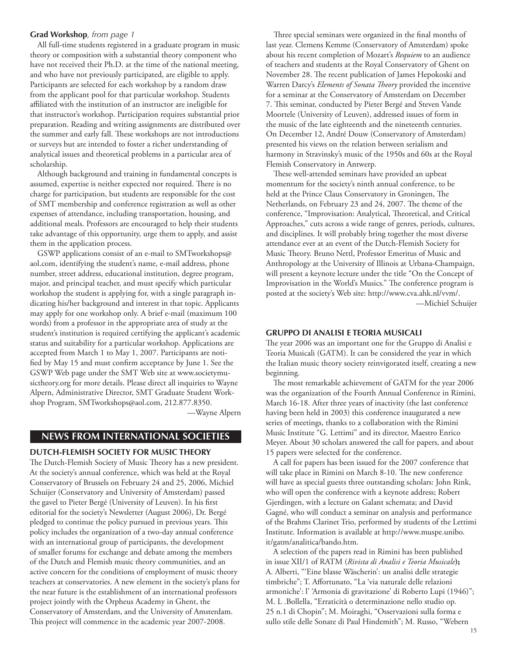#### **Grad Workshop***, from page 1*

 All full-time students registered in a graduate program in music theory or composition with a substantial theory component who have not received their Ph.D. at the time of the national meeting, and who have not previously participated, are eligible to apply. Participants are selected for each workshop by a random draw from the applicant pool for that particular workshop. Students affiliated with the institution of an instructor are ineligible for that instructor's workshop. Participation requires substantial prior preparation. Reading and writing assignments are distributed over the summer and early fall. These workshops are not introductions or surveys but are intended to foster a richer understanding of analytical issues and theoretical problems in a particular area of scholarship.

Although background and training in fundamental concepts is assumed, expertise is neither expected nor required. There is no charge for participation, but students are responsible for the cost of SMT membership and conference registration as well as other expenses of attendance, including transportation, housing, and additional meals. Professors are encouraged to help their students take advantage of this opportunity, urge them to apply, and assist them in the application process.

GSWP applications consist of an e-mail to [SMTworkshops@](mailto:SMTworkshops@aol.com) [aol.com,](mailto:SMTworkshops@aol.com) identifying the student's name, e-mail address, phone number, street address, educational institution, degree program, major, and principal teacher, and must specify which particular workshop the student is applying for, with a single paragraph indicating his/her background and interest in that topic. Applicants may apply for one workshop only. A brief e-mail (maximum 100 words) from a professor in the appropriate area of study at the student's institution is required certifying the applicant's academic status and suitability for a particular workshop. Applications are accepted from March 1 to May 1, 2007. Participants are notified by May 15 and must confirm acceptance by June 1. See the GSWP Web page under the SMT Web site at [www.societymu](www.societymusictheory.org)[sictheory.org](www.societymusictheory.org) for more details. Please direct all inquiries to Wayne Alpern, Administrative Director, SMT Graduate Student Workshop Program, [SMTworkshops@aol.com,](mailto:SMTworkshops@aol.com) 212.877.8350. —Wayne Alpern

# **news from international societies**

#### **Dutch-Flemish Society for Music Theory**

The Dutch-Flemish Society of Music Theory has a new president. At the society's annual conference, which was held at the Royal Conservatory of Brussels on February 24 and 25, 2006, Michiel Schuijer (Conservatory and University of Amsterdam) passed the gavel to Pieter Bergé (University of Leuven). In his first editorial for the society's Newsletter (August 2006), Dr. Bergé pledged to continue the policy pursued in previous years. This policy includes the organization of a two-day annual conference with an international group of participants, the development of smaller forums for exchange and debate among the members of the Dutch and Flemish music theory communities, and an active concern for the conditions of employment of music theory teachers at conservatories. A new element in the society's plans for the near future is the establishment of an international professors project jointly with the Orpheus Academy in Ghent, the Conservatory of Amsterdam, and the University of Amsterdam. This project will commence in the academic year 2007-2008.

Three special seminars were organized in the final months of last year. Clemens Kemme (Conservatory of Amsterdam) spoke about his recent completion of Mozart's *Requiem* to an audience of teachers and students at the Royal Conservatory of Ghent on November 28. The recent publication of James Hepokoski and Warren Darcy's *Elements of Sonata Theory* provided the incentive for a seminar at the Conservatory of Amsterdam on December 7. This seminar, conducted by Pieter Bergé and Steven Vande Moortele (University of Leuven), addressed issues of form in the music of the late eighteenth and the nineteenth centuries. On December 12, André Douw (Conservatory of Amsterdam) presented his views on the relation between serialism and harmony in Stravinsky's music of the 1950s and 60s at the Royal Flemish Conservatory in Antwerp.

These well-attended seminars have provided an upbeat momentum for the society's ninth annual conference, to be held at the Prince Claus Conservatory in Groningen, The Netherlands, on February 23 and 24, 2007. The theme of the conference, "Improvisation: Analytical, Theoretical, and Critical Approaches," cuts across a wide range of genres, periods, cultures, and disciplines. It will probably bring together the most diverse attendance ever at an event of the Dutch-Flemish Society for Music Theory. Bruno Nettl, Professor Emeritus of Music and Anthropology at the University of Illinois at Urbana-Champaign, will present a keynote lecture under the title "On the Concept of Improvisation in the World's Musics." The conference program is posted at the society's Web site: [http://www.cva.ahk.nl/vvm/.](http://www.cva.ahk.nl/vvm/) —Michiel Schuijer

### **gruppo di analisi e teoria musicalI**

The year 2006 was an important one for the Gruppo di Analisi e Teoria Musicali (GATM). It can be considered the year in which the Italian music theory society reinvigorated itself, creating a new beginning.

The most remarkable achievement of GATM for the year 2006 was the organization of the Fourth Annual Conference in Rimini, March 16-18. After three years of inactivity (the last conference having been held in 2003) this conference inaugurated a new series of meetings, thanks to a collaboration with the Rimini Music Institute "G. Lettimi" and its director, Maestro Enrico Meyer. About 30 scholars answered the call for papers, and about 15 papers were selected for the conference.

A call for papers has been issued for the 2007 conference that will take place in Rimini on March 8-10. The new conference will have as special guests three outstanding scholars: John Rink, who will open the conference with a keynote address; Robert Gjerdingen, with a lecture on Galant schemata; and David Gagné, who will conduct a seminar on analysis and performance of the Brahms Clarinet Trio, performed by students of the Lettimi Institute. Information is available at [http://www.muspe.unibo.](http://www.muspe.unibo.it/gatm/analitica/bando.htm) [it/gatm/analitica/bando.htm.](http://www.muspe.unibo.it/gatm/analitica/bando.htm)

A selection of the papers read in Rimini has been published in issue XII/1 of RATM (*Rivista di Analisi e Teoria Musicale***);**  A. Alberti, "'Eine blasse Wäscherin': un analisi delle strategie timbriche"; T. Affortunato, "La 'via naturale delle relazioni armoniche': l' 'Armonia di gravitazione' di Roberto Lupi (1946)"; M. L .Bollella, "Erraticità o determinazione nello studio op. 25 n.1 di Chopin"; M. Moiraghi, "Osservazioni sulla forma e sullo stile delle Sonate di Paul Hindemith"; M. Russo, "Webern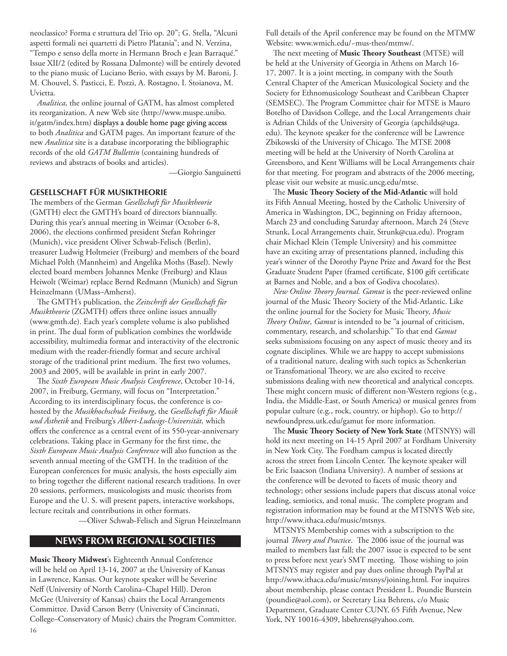neoclassico? Forma e struttura del Trio op. 20"; G. Stella, "Alcuni aspetti formali nei quartetti di Pietro Platania"; and N. Verzina, "Tempo e senso della morte in Hermann Broch e Jean Barraqué." Issue XII/2 (edited by Rossana Dalmonte) will be entirely devoted to the piano music of Luciano Berio, with essays by M. Baroni, J. M. Chouvel, S. Pasticci, E. Pozzi, A. Rostagno, I. Stoianova, M. Uvietta.

*Analitica*, the online journal of GATM, has almost completed its reorganization. A new Web site [\(http://www.muspe.unibo.](http://www.muspe.unibo.it/gatm/index.htm) [it/gatm/index.htm](http://www.muspe.unibo.it/gatm/index.htm)) displays a double home page giving access to both *Analitica* and GATM pages. An important feature of the new *Analitica* site is a database incorporating the bibliographic records of the old *GATM Bullettin* (containing hundreds of reviews and abstracts of books and articles).

—Giorgio Sanguinetti

## **Gesellschaft für musiktheorie**

The members of the German *Gesellschaft für Musiktheorie* (GMTH) elect the GMTH's board of directors biannually. During this year's annual meeting in Weimar (October 6-8, 2006), the elections confirmed president Stefan Rohringer (Munich), vice president Oliver Schwab-Felisch (Berlin), treasurer Ludwig Holtmeier (Freiburg) and members of the board Michael Polth (Mannheim) and Angelika Moths (Basel). Newly elected board members Johannes Menke (Freiburg) and Klaus Heiwolt (Weimar) replace Bernd Redmann (Munich) and Sigrun Heinzelmann (UMass–Amherst).

The GMTH's publication, the *Zeitschrift der Gesellschaft für Musiktheorie* (ZGMTH) offers three online issues annually [\(www.gmth.de\)](http://www.gmth.de). Each year's complete volume is also published in print. The dual form of publication combines the worldwide accessibility, multimedia format and interactivity of the electronic medium with the reader-friendly format and secure archival storage of the traditional print medium. The first two volumes, 2003 and 2005, will be available in print in early 2007.

The Sixth European Music Analysis Conference, October 10-14, 2007, in Freiburg, Germany, will focus on "Interpretation." According to its interdisciplinary focus, the conference is cohosted by the *Musikhochschule Freiburg*, the *Gesellschaft für Musik und Ästhetik* and Freiburg's *Albert-Ludwigs-Universität,* which offers the conference as a central event of its 550-year-anniversary celebrations. Taking place in Germany for the first time, the *Sixth European Music Analysis Conference* will also function as the seventh annual meeting of the GMTH. In the tradition of the European conferences for music analysis, the hosts especially aim to bring together the different national research traditions. In over 20 sessions, performers, musicologists and music theorists from Europe and the U. S. will present papers, interactive workshops, lecture recitals and contributions in other formats.

—Oliver Schwab-Felisch and Sigrun Heinzelmann

## **news from regional societies**

**Music Theory Midwest**'s Eighteenth Annual Conference will be held on April 13-14, 2007 at the University of Kansas in Lawrence, Kansas. Our keynote speaker will be Severine Neff (University of North Carolina–Chapel Hill). Deron McGee (University of Kansas) chairs the Local Arrangements Committee. David Carson Berry (University of Cincinnati, College–Conservatory of Music) chairs the Program Committee. Full details of the April conference may be found on the MTMW Website: [www.wmich.edu/~mus-theo/mtmw/.](www.wmich.edu/~mus-theo/mtmw/)

The next meeting of **Music Theory Southeast** (MTSE) will be held at the University of Georgia in Athens on March 16- 17, 2007. It is a joint meeting, in company with the South Central Chapter of the American Musicological Society and the Society for Ethnomusicology Southeast and Caribbean Chapter (SEMSEC). The Program Committee chair for MTSE is Mauro Botelho of Davidson College, and the Local Arrangements chair is Adrian Childs of the University of Georgia ([apchilds@uga.](mailto:apchilds@uga.edu) [edu](mailto:apchilds@uga.edu)). The keynote speaker for the conference will be Lawrence Zbikowski of the University of Chicago. The MTSE 2008 meeting will be held at the University of North Carolina at Greensboro, and Kent Williams will be Local Arrangements chair for that meeting. For program and abstracts of the 2006 meeting, please visit our website at [music.uncg.edu/mtse.](music.uncg.edu/mtse)

The **Music Theory Society of the Mid-Atlantic** will hold its Fifth Annual Meeting, hosted by the Catholic University of America in Washington, DC, beginning on Friday afternoon, March 23 and concluding Saturday afternoon, March 24 (Steve Strunk, Local Arrangements chair, [Strunk@cua.edu\)](mailto:Strunk@cua.edu). Program chair Michael Klein (Temple University) and his committee have an exciting array of presentations planned, including this year's winner of the Dorothy Payne Prize and Award for the Best Graduate Student Paper (framed certificate, \$100 gift certificate at Barnes and Noble, and a box of Godiva chocolates).

*New Online Theory Journal. Gamut* is the peer-reviewed online journal of the Music Theory Society of the Mid-Atlantic. Like the online journal for the Society for Music Theory, *Music Theory Online*, *Gamut* is intended to be "a journal of criticism, commentary, research, and scholarship." To that end *Gamut* seeks submissions focusing on any aspect of music theory and its cognate disciplines. While we are happy to accept submissions of a traditional nature, dealing with such topics as Schenkerian or Transfomational Theory, we are also excited to receive submissions dealing with new theoretical and analytical concepts. These might concern music of different non-Western regions (e.g., India, the Middle-East, or South America) or musical genres from popular culture (e.g., rock, country, or hiphop). Go to [http://](http://newfoundpress.utk.edu/gamut) [newfoundpress.utk.edu/gamut](http://newfoundpress.utk.edu/gamut) for more information.

The **Music Theory Society of New York State** (MTSNYS) will hold its next meeting on 14-15 April 2007 at Fordham University in New York City. The Fordham campus is located directly across the street from Lincoln Center. The keynote speaker will be Eric Isaacson (Indiana University). A number of sessions at the conference will be devoted to facets of music theory and technology; other sessions include papers that discuss atonal voice leading, semiotics, and tonal music. The complete program and registration information may be found at the MTSNYS Web site, [http://www.ithaca.edu/music/mtsnys.](http://www.ithaca.edu/music/mtsnys)

MTSNYS Membership comes with a subscription to the journal *Theory and Practice*. The 2006 issue of the journal was mailed to members last fall; the 2007 issue is expected to be sent to press before next year's SMT meeting. Those wishing to join MTSNYS may register and pay dues online through PayPal at [http://www.ithaca.edu/music/mtsnys/joining.html.](http://www.ithaca.edu/music/mtsnys/joining.html) For inquires about membership, please contact President L. Poundie Burstein [\(poundie@aol.com](mailto:mailto:poundie@aol.com)), or Secretary Lisa Behrens, c/o Music Department, Graduate Center CUNY, 65 Fifth Avenue, New York, NY 10016-4309, [lsbehrens@yahoo.com.](mailto:lsbehrens@yahoo.com)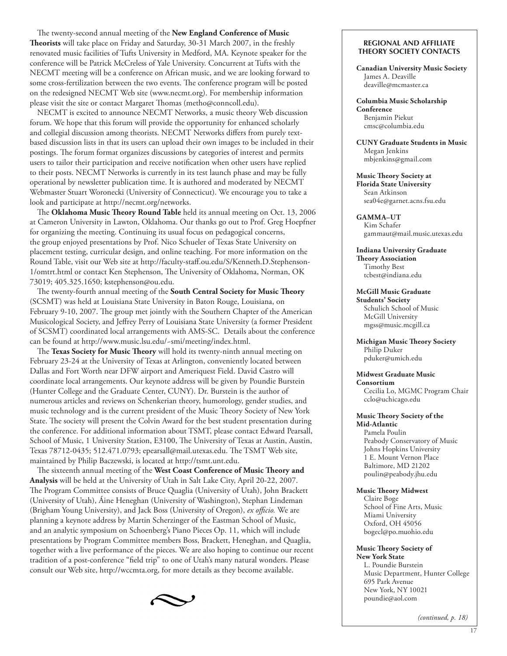The twenty-second annual meeting of the **New England Conference of Music Theorists** will take place on Friday and Saturday, 30-31 March 2007, in the freshly renovated music facilities of Tufts University in Medford, MA. Keynote speaker for the conference will be Patrick McCreless of Yale University. Concurrent at Tufts with the NECMT meeting will be a conference on African music, and we are looking forward to some cross-fertilization between the two events. The conference program will be posted on the redesigned NECMT Web site [\(www.necmt.org\)](www.necmt.org). For membership information please visit the site or contact Margaret Thomas ([metho@conncoll.edu](mailto:metho@conncoll.edu)).

NECMT is excited to announce NECMT Networks, a music theory Web discussion forum. We hope that this forum will provide the opportunity for enhanced scholarly and collegial discussion among theorists. NECMT Networks differs from purely textbased discussion lists in that its users can upload their own images to be included in their postings. The forum format organizes discussions by categories of interest and permits users to tailor their participation and receive notification when other users have replied to their posts. NECMT Networks is currently in its test launch phase and may be fully operational by newsletter publication time. It is authored and moderated by NECMT Webmaster Stuart Woronecki (University of Connecticut). We encourage you to take a look and participate at<http://necmt.org/networks>.

The **Oklahoma Music Theory Round Table** held its annual meeting on Oct. 13, 2006 at Cameron University in Lawton, Oklahoma. Our thanks go out to Prof. Greg Hoepfner for organizing the meeting. Continuing its usual focus on pedagogical concerns, the group enjoyed presentations by Prof. Nico Schueler of Texas State University on placement testing, curricular design, and online teaching. For more information on the Round Table, visit our Web site at [http://faculty-staff.ou.edu/S/Kenneth.D.Stephenson-](http://faculty-staff.ou.edu/S/Kenneth.D.Stephenson-1/omtrt.html) [1/omtrt.html](http://faculty-staff.ou.edu/S/Kenneth.D.Stephenson-1/omtrt.html) or contact Ken Stephenson, The University of Oklahoma, Norman, OK 73019; 405.325.1650; [kstephenson@ou.edu](mailto:kstephenson@ou.edu).

The twenty-fourth annual meeting of the **South Central Society for Music Theory** (SCSMT) was held at Louisiana State University in Baton Rouge, Louisiana, on February 9-10, 2007. The group met jointly with the Southern Chapter of the American Musicological Society, and Jeffrey Perry of Louisiana State University (a former President of SCSMT) coordinated local arrangements with AMS-SC. Details about the conference can be found at <http://www.music.lsu.edu/~smi/meeting/index.html>.

The **Texas Society for Music Theory** will hold its twenty-ninth annual meeting on February 23-24 at the University of Texas at Arlington, conveniently located between Dallas and Fort Worth near DFW airport and Ameriquest Field. David Castro will coordinate local arrangements. Our keynote address will be given by Poundie Burstein (Hunter College and the Graduate Center, CUNY). Dr. Burstein is the author of numerous articles and reviews on Schenkerian theory, humorology, gender studies, and music technology and is the current president of the Music Theory Society of New York State. The society will present the Colvin Award for the best student presentation during the conference. For additional information about TSMT, please contact Edward Pearsall, School of Music, 1 University Station, E3100, The University of Texas at Austin, Austin, Texas 78712-0435; 512.471.0793; [epearsall@mail.utexas.edu.](mailto:epearsall@mail.utexas.edu) The TSMT Web site, maintained by Philip Baczewski, is located at [http://tsmt.unt.edu.](http://tsmt.unt.edu)

The sixteenth annual meeting of the **West Coast Conference of Music Theory and Analysis** will be held at the University of Utah in Salt Lake City, April 20-22, 2007. The Program Committee consists of Bruce Quaglia (University of Utah), John Brackett (University of Utah), Áine Heneghan (University of Washington), Stephan Lindeman (Brigham Young University), and Jack Boss (University of Oregon), *ex officio.* We are planning a keynote address by Martin Scherzinger of the Eastman School of Music, and an analytic symposium on Schoenberg's Piano Pieces Op. 11, which will include presentations by Program Committee members Boss, Brackett, Heneghan, and Quaglia, together with a live performance of the pieces. We are also hoping to continue our recent tradition of a post-conference "field trip" to one of Utah's many natural wonders. Please consult our Web site,<http://wccmta.org>, for more details as they become available.



#### **Regional and Affiliate Theory Society Contacts**

**Canadian University Music Society** James A. Deaville [deaville@mcmaster.ca](mailto:deaville@mcmaster.ca)

**Columbia Music Scholarship Conference** Benjamin Piekut [cmsc@columbia.edu](mailto:cmsc@columbia.edu)

**CUNY Graduate Students in Music** Megan Jenkins [mbjenkins@gmail.com](mailto:mbjenkins@gmail.com)

**Music Theory Society at Florida State University** Sean Atkinson [sea04e@garnet.acns.fsu.edu](mailto:sea04e@garnet.acns.fsu.edu)

**GAMMA–UT** Kim Schafer [gammaut@mail.music.utexas.edu](mailto:gammaut@mail.music.utexas.edu)

**Indiana University Graduate Theory Association** Timothy Best [tcbest@indiana.edu](mailto:tcbest@indiana.edu)

**McGill Music Graduate Students' Society** Schulich School of Music McGill University [mgss@music.mcgill.ca](mailto:mgss@music.mcgill.ca)

**Michigan Music Theory Society**  Philip Duker [pduker@umich.edu](mailto:pduker@umich.edu)

#### **Midwest Graduate Music Consortium**

Cecilia Lo, MGMC Program Chair [cclo@uchicago.edu](mailto:cclo@uchicago.edu)

#### **Music Theory Society of the Mid-Atlantic**

Pamela Poulin Peabody Conservatory of Music Johns Hopkins University 1 E. Mount Vernon Place Baltimore, MD 21202 [poulin@peabody.jhu.edu](mailto:poulin@peabody.jhu.edu)

#### **Music Theory Midwest**

Claire Boge School of Fine Arts, Music Miami University Oxford, OH 45056 [bogecl@po.muohio.edu](mailto:bogecl@po.muohio.edu)

#### **Music Theory Society of New York State**

L. Poundie Burstein Music Department, Hunter College 695 Park Avenue New York, NY 10021 [poundie@aol.com](mailto:mailto:poundie@aol.com)

*(continued, p. 18)*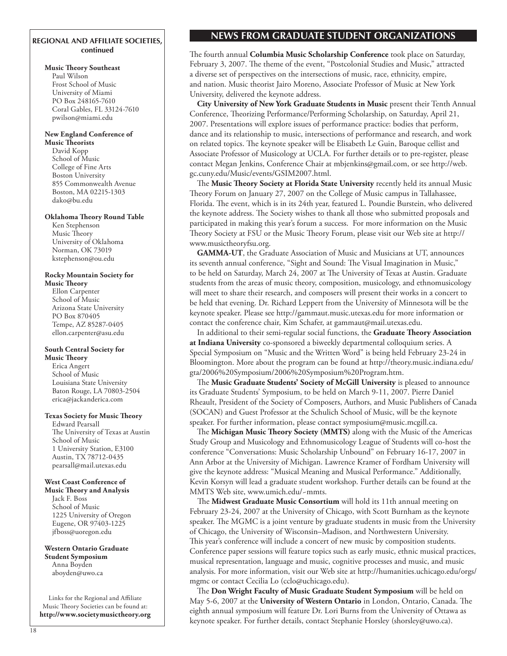## **Regional and affiliate societies, continued**

#### **Music Theory Southeast**

Paul Wilson Frost School of Music University of Miami PO Box 248165-7610 Coral Gables, FL 33124-7610 [pwilson@miami.edu](mailto:pwilson@miami.edu)

## **New England Conference of**

**Music Theorists** David Kopp School of Music College of Fine Arts Boston University 855 Commonwealth Avenue Boston, MA 02215-1303 [dako@bu.edu](mailto:dako@bu.edu)

#### **Oklahoma Theory Round Table**

Ken Stephenson Music Theory University of Oklahoma Norman, OK 73019 [kstephenson@ou.edu](mailto:kstephenson@ou.edu)

## **Rocky Mountain Society for**

**Music Theory** Ellon Carpenter School of Music Arizona State University PO Box 870405 Tempe, AZ 85287-0405 [ellon.carpenter@asu.edu](mailto:ellon.carpenter@asu.edu)

#### **South Central Society for Music Theory**

Erica Angert School of Music Louisiana State University Baton Rouge, LA 70803-2504 [erica@jackanderica.com](mailto:erica@jackanderica.com)

#### **Texas Society for Music Theory**

Edward Pearsall The University of Texas at Austin School of Music 1 University Station, E3100 Austin, TX 78712-0435 [pearsall@mail.utexas.edu](mailto:pearsall@mail.utexas.edu)

#### **West Coast Conference of**

**Music Theory and Analysis** Jack F. Boss School of Music 1225 University of Oregon Eugene, OR 97403-1225 [jfboss@uoregon.edu](mailto:jfboss@uoregon.edu)

**Western Ontario Graduate Student Symposium** Anna Boyden [aboyden@uwo.ca](mailto:aboyden@uwo.ca)

Links for the Regional and Affiliate Music Theory Societies can be found at: **<http://www.societymusictheory.org>**

## **news from graduate student organizations**

The fourth annual **Columbia Music Scholarship Conference** took place on Saturday, February 3, 2007. The theme of the event, "Postcolonial Studies and Music," attracted a diverse set of perspectives on the intersections of music, race, ethnicity, empire, and nation. Music theorist Jairo Moreno, Associate Professor of Music at New York University, delivered the keynote address.

**City University of New York Graduate Students in Music** present their Tenth Annual Conference, Theorizing Performance/Performing Scholarship, on Saturday, April 21, 2007. Presentations will explore issues of performance practice: bodies that perform, dance and its relationship to music, intersections of performance and research, and work on related topics. The keynote speaker will be Elisabeth Le Guin, Baroque cellist and Associate Professor of Musicology at UCLA. For further details or to pre-register, please contact Megan Jenkins, Conference Chair at mbjenkins@gmail.com, or see [http://web.](http://web.gc.cuny.edu/Music/events/GSIM2007.html) [gc.cuny.edu/Music/events/GSIM2007.html.](http://web.gc.cuny.edu/Music/events/GSIM2007.html)

The **Music Theory Society at Florida State University** recently held its annual Music Theory Forum on January 27, 2007 on the College of Music campus in Tallahassee, Florida. The event, which is in its 24th year, featured L. Poundie Burstein, who delivered the keynote address. The Society wishes to thank all those who submitted proposals and participated in making this year's forum a success. For more information on the Music Theory Society at FSU or the Music Theory Forum, please visit our Web site at [http://](http://www.musictheoryfsu.org) [www.musictheoryfsu.org.](http://www.musictheoryfsu.org)

**GAMMA-UT**, the Graduate Association of Music and Musicians at UT, announces its seventh annual conference, "Sight and Sound: The Visual Imagination in Music," to be held on Saturday, March 24, 2007 at The University of Texas at Austin. Graduate students from the areas of music theory, composition, musicology, and ethnomusicology will meet to share their research, and composers will present their works in a concert to be held that evening. Dr. Richard Leppert from the University of Minnesota will be the keynote speaker. Please see <http://gammaut.music.utexas.edu>for more information or contact the conference chair, Kim Schafer, at [gammaut@mail.utexas.edu.](mailto:gammaut@mail.utexas.edu)

In additional to their semi-regular social functions, the **Graduate Theory Association at Indiana University** co-sponsored a biweekly departmental colloquium series. A Special Symposium on "Music and the Written Word" is being held February 23-24 in Bloomington. More about the program can be found at [http://theory.music.indiana.edu/](http://theory.music.indiana.edu/gta/2006%20Symposium/2006%20Symposium%20Program.htm) [gta/2006%20Symposium/2006%20Symposium%20Program.htm.](http://theory.music.indiana.edu/gta/2006%20Symposium/2006%20Symposium%20Program.htm)

The **Music Graduate Students' Society of McGill University** is pleased to announce its Graduate Students' Symposium, to be held on March 9-11, 2007. Pierre Daniel Rheault, President of the Society of Composers, Authors, and Music Publishers of Canada (SOCAN) and Guest Professor at the Schulich School of Music, will be the keynote speaker. For further information, please contact [symposium@music.mcgill.ca](mailto:symposium@music.mcgill.ca).

The **Michigan Music Theory Society (MMTS)** along with the Music of the Americas Study Group and Musicology and Ethnomusicology League of Students will co-host the conference "Conversations: Music Scholarship Unbound" on February 16-17, 2007 in Ann Arbor at the University of Michigan. Lawrence Kramer of Fordham University will give the keynote address: "Musical Meaning and Musical Performance." Additionally, Kevin Korsyn will lead a graduate student workshop. Further details can be found at the MMTS Web site,<www.umich.edu/~mmts>.

The **Midwest Graduate Music Consortium** will hold its 11th annual meeting on February 23-24, 2007 at the University of Chicago, with Scott Burnham as the keynote speaker. The MGMC is a joint venture by graduate students in music from the University of Chicago, the University of Wisconsin–Madison, and Northwestern University. This year's conference will include a concert of new music by composition students. Conference paper sessions will feature topics such as early music, ethnic musical practices, musical representation, language and music, cognitive processes and music, and music analysis. For more information, visit our Web site at [http://humanities.uchicago.edu/orgs/](http://humanities.uchicago.edu/orgs/mgmc) [mgmc](http://humanities.uchicago.edu/orgs/mgmc) or contact Cecilia Lo [\(cclo@uchicago.edu](mailto:cclo@uchicago.edu)).

The **Don Wright Faculty of Music Graduate Student Symposium** will be held on May 5-6, 2007 at the **University of Western Ontario** in London, Ontario, Canada. The eighth annual symposium will feature Dr. Lori Burns from the University of Ottawa as keynote speaker. For further details, contact Stephanie Horsley [\(shorsley@uwo.ca](mailto:shorsley@uwo.ca)).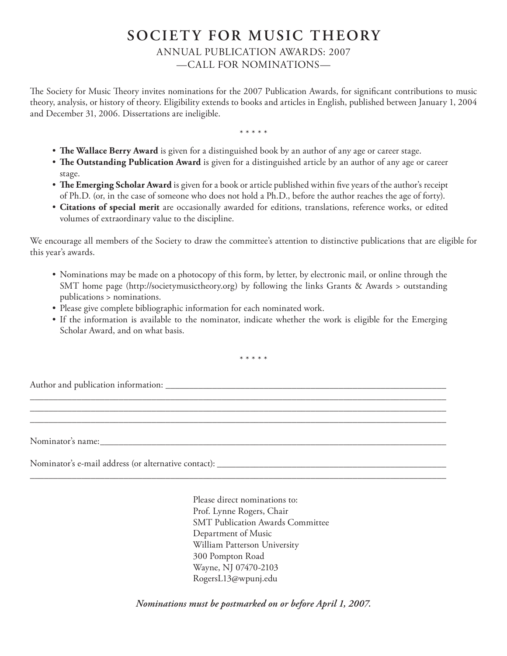# **SOCIETY FOR MUSIC THEORY** ANNUAL PUBLICATION AWARDS: 2007 —CALL FOR NOMINATIONS—

The Society for Music Theory invites nominations for the 2007 Publication Awards, for significant contributions to music theory, analysis, or history of theory. Eligibility extends to books and articles in English, published between January 1, 2004 and December 31, 2006. Dissertations are ineligible.

\* \* \* \* \*

- **The Wallace Berry Award** is given for a distinguished book by an author of any age or career stage.
- **The Outstanding Publication Award** is given for a distinguished article by an author of any age or career stage.
- **The Emerging Scholar Award** is given for a book or article published within five years of the author's receipt of Ph.D. (or, in the case of someone who does not hold a Ph.D., before the author reaches the age of forty).
- **Citations of special merit** are occasionally awarded for editions, translations, reference works, or edited volumes of extraordinary value to the discipline.

We encourage all members of the Society to draw the committee's attention to distinctive publications that are eligible for this year's awards.

- Nominations may be made on a photocopy of this form, by letter, by electronic mail, or online through the SMT home page ([http://societymusictheory.org\)](http://societymusictheory.org) by following the links Grants & Awards > outstanding publications > nominations.
- Please give complete bibliographic information for each nominated work.
- If the information is available to the nominator, indicate whether the work is eligible for the Emerging Scholar Award, and on what basis.

\* \* \* \* \*

\_\_\_\_\_\_\_\_\_\_\_\_\_\_\_\_\_\_\_\_\_\_\_\_\_\_\_\_\_\_\_\_\_\_\_\_\_\_\_\_\_\_\_\_\_\_\_\_\_\_\_\_\_\_\_\_\_\_\_\_\_\_\_\_\_\_\_\_\_\_\_\_\_\_\_\_\_\_\_\_\_\_\_\_\_\_\_\_\_ \_\_\_\_\_\_\_\_\_\_\_\_\_\_\_\_\_\_\_\_\_\_\_\_\_\_\_\_\_\_\_\_\_\_\_\_\_\_\_\_\_\_\_\_\_\_\_\_\_\_\_\_\_\_\_\_\_\_\_\_\_\_\_\_\_\_\_\_\_\_\_\_\_\_\_\_\_\_\_\_\_\_\_\_\_\_\_\_\_ \_\_\_\_\_\_\_\_\_\_\_\_\_\_\_\_\_\_\_\_\_\_\_\_\_\_\_\_\_\_\_\_\_\_\_\_\_\_\_\_\_\_\_\_\_\_\_\_\_\_\_\_\_\_\_\_\_\_\_\_\_\_\_\_\_\_\_\_\_\_\_\_\_\_\_\_\_\_\_\_\_\_\_\_\_\_\_\_\_

\_\_\_\_\_\_\_\_\_\_\_\_\_\_\_\_\_\_\_\_\_\_\_\_\_\_\_\_\_\_\_\_\_\_\_\_\_\_\_\_\_\_\_\_\_\_\_\_\_\_\_\_\_\_\_\_\_\_\_\_\_\_\_\_\_\_\_\_\_\_\_\_\_\_\_\_\_\_\_\_\_\_\_\_\_\_\_\_\_

Author and publication information: \_\_\_\_\_\_\_\_\_\_\_\_\_\_\_\_\_\_\_\_\_\_\_\_\_\_\_\_\_\_\_\_\_\_\_\_\_\_\_\_\_\_\_\_\_\_\_\_\_\_\_\_\_\_\_\_\_\_\_\_

Nominator's name:

Nominator's e-mail address (or alternative contact): \_\_\_\_\_\_\_\_\_\_\_\_\_\_\_\_\_\_\_\_\_\_\_\_\_\_\_\_\_\_\_\_\_\_\_\_\_\_\_\_\_\_\_\_\_\_\_\_\_

Please direct nominations to: Prof. Lynne Rogers, Chair SMT Publication Awards Committee Department of Music William Patterson University 300 Pompton Road Wayne, NJ 07470-2103 [RogersL13@wpunj.edu](mailto:RogersL13@wpunj.edu)

*Nominations must be postmarked on or before April 1, 2007.*